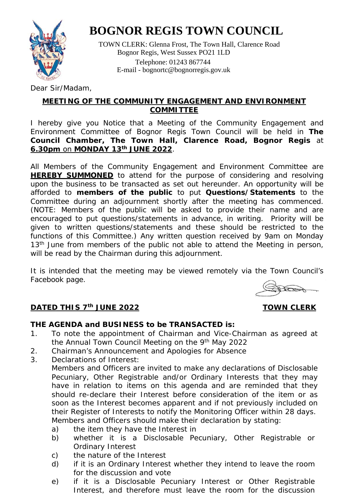

 TOWN CLERK: Glenna Frost, The Town Hall, Clarence Road Bognor Regis, West Sussex PO21 1LD Telephone: 01243 867744 E-mail - [bognortc@bognorregis.gov.uk](mailto:bognortc@bognorregis.gov.uk)

Dear Sir/Madam,

### **MEETING OF THE COMMUNITY ENGAGEMENT AND ENVIRONMENT COMMITTEE**

I hereby give you Notice that a Meeting of the Community Engagement and Environment Committee of Bognor Regis Town Council will be held in **The Council Chamber, The Town Hall, Clarence Road, Bognor Regis** at **6.30pm** on **MONDAY 13th JUNE 2022**.

All Members of the Community Engagement and Environment Committee are **HEREBY SUMMONED** to attend for the purpose of considering and resolving upon the business to be transacted as set out hereunder. An opportunity will be afforded to **members of the public** to put **Questions/Statements** to the Committee during an adjournment shortly after the meeting has commenced. (NOTE: Members of the public will be asked to provide their name and are encouraged to put questions/statements in advance, in writing. Priority will be given to written questions/statements and these should be restricted to the functions of this Committee.) Any written question received by 9am on Monday 13<sup>th</sup> June from members of the public not able to attend the Meeting in person, will be read by the Chairman during this adjournment.

It is intended that the meeting may be viewed remotely via the Town Council's Facebook page.

**FEBRA** 

### **DATED THIS 7<sup>th</sup> JUNE 2022** TOWN CLERK

#### **THE AGENDA and BUSINESS to be TRANSACTED is:**

- 1. To note the appointment of Chairman and Vice-Chairman as agreed at the Annual Town Council Meeting on the 9th May 2022
- 2. Chairman's Announcement and Apologies for Absence
- 3. Declarations of Interest:
	- Members and Officers are invited to make any declarations of Disclosable Pecuniary, Other Registrable and/or Ordinary Interests that they may have in relation to items on this agenda and are reminded that they should re-declare their Interest before consideration of the item or as soon as the Interest becomes apparent and if not previously included on their Register of Interests to notify the Monitoring Officer within 28 days. Members and Officers should make their declaration by stating:
		- a) the item they have the Interest in
		- b) whether it is a Disclosable Pecuniary, Other Registrable or Ordinary Interest
		- c) the nature of the Interest
		- d) if it is an Ordinary Interest whether they intend to leave the room for the discussion and vote
		- e) if it is a Disclosable Pecuniary Interest or Other Registrable Interest, and therefore must leave the room for the discussion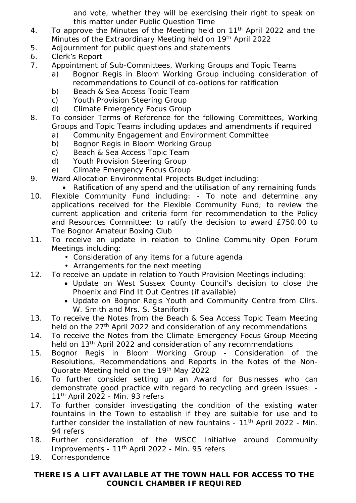and vote, whether they will be exercising their right to speak on this matter under Public Question Time

- 4. To approve the Minutes of the Meeting held on 11<sup>th</sup> April 2022 and the Minutes of the Extraordinary Meeting held on 19<sup>th</sup> April 2022
- 5. Adjournment for public questions and statements
- 6. Clerk's Report
- 7. Appointment of Sub-Committees, Working Groups and Topic Teams
	- a) Bognor Regis in Bloom Working Group including consideration of recommendations to Council of co-options for ratification
	- b) Beach & Sea Access Topic Team
	- c) Youth Provision Steering Group
	- d) Climate Emergency Focus Group
- 8. To consider Terms of Reference for the following Committees, Working Groups and Topic Teams including updates and amendments if required
	- a) Community Engagement and Environment Committee
	- b) Bognor Regis in Bloom Working Group
	- c) Beach & Sea Access Topic Team
	- d) Youth Provision Steering Group
	- e) Climate Emergency Focus Group
- 9. Ward Allocation Environmental Projects Budget including:
- Ratification of any spend and the utilisation of any remaining funds 10. Flexible Community Fund including: - To note and determine any applications received for the Flexible Community Fund; to review the current application and criteria form for recommendation to the Policy and Resources Committee; to ratify the decision to award £750.00 to The Bognor Amateur Boxing Club
- 11. To receive an update in relation to Online Community Open Forum Meetings including:
	- Consideration of any items for a future agenda
	- Arrangements for the next meeting
- 12. To receive an update in relation to Youth Provision Meetings including:
	- Update on West Sussex County Council's decision to close the Phoenix and Find It Out Centres (if available)
	- Update on Bognor Regis Youth and Community Centre from Cllrs. W. Smith and Mrs. S. Staniforth
- 13. To receive the Notes from the Beach & Sea Access Topic Team Meeting held on the 27<sup>th</sup> April 2022 and consideration of any recommendations
- 14. To receive the Notes from the Climate Emergency Focus Group Meeting held on 13<sup>th</sup> April 2022 and consideration of any recommendations
- 15. Bognor Regis in Bloom Working Group Consideration of the Resolutions, Recommendations and Reports in the Notes of the Non-Quorate Meeting held on the 19th May 2022
- 16. To further consider setting up an Award for Businesses who can demonstrate good practice with regard to recycling and green issues: - 11<sup>th</sup> April 2022 - Min. 93 refers
- 17. To further consider investigating the condition of the existing water fountains in the Town to establish if they are suitable for use and to further consider the installation of new fountains -  $11<sup>th</sup>$  April 2022 - Min. 94 refers
- 18. Further consideration of the WSCC Initiative around Community Improvements - 11th April 2022 - Min. 95 refers
- 19. Correspondence

#### **THERE IS A LIFT AVAILABLE AT THE TOWN HALL FOR ACCESS TO THE COUNCIL CHAMBER IF REQUIRED**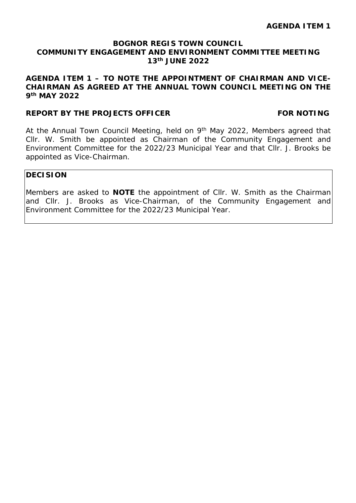#### **AGENDA ITEM 1 – TO NOTE THE APPOINTMENT OF CHAIRMAN AND VICE-CHAIRMAN AS AGREED AT THE ANNUAL TOWN COUNCIL MEETING ON THE 9th MAY 2022**

#### **REPORT BY THE PROJECTS OFFICER FOR NOTING**

At the Annual Town Council Meeting, held on 9<sup>th</sup> May 2022, Members agreed that Cllr. W. Smith be appointed as Chairman of the Community Engagement and Environment Committee for the 2022/23 Municipal Year and that Cllr. J. Brooks be appointed as Vice-Chairman.

#### **DECISION**

Members are asked to **NOTE** the appointment of Cllr. W. Smith as the Chairman and Cllr. J. Brooks as Vice-Chairman, of the Community Engagement and Environment Committee for the 2022/23 Municipal Year.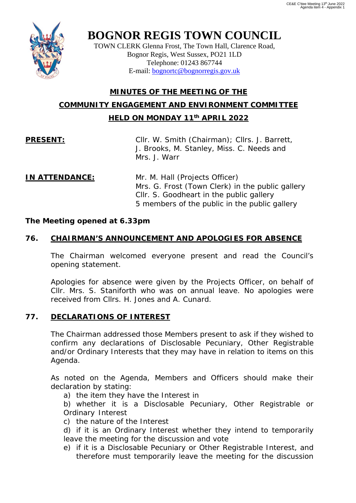

TOWN CLERK Glenna Frost, The Town Hall, Clarence Road, Bognor Regis, West Sussex, PO21 1LD Telephone: 01243 867744 E-mail: [bognortc@bognorregis.gov.uk](mailto:bognortc@bognorregis.gov.uk)

### **MINUTES OF THE MEETING OF THE COMMUNITY ENGAGEMENT AND ENVIRONMENT COMMITTEE HELD ON MONDAY 11th APRIL 2022**

**PRESENT:** Cllr. W. Smith (Chairman); Cllrs. J. Barrett, J. Brooks, M. Stanley, Miss. C. Needs and Mrs. J. Warr

#### **IN ATTENDANCE:** Mr. M. Hall (Projects Officer) Mrs. G. Frost (Town Clerk) in the public gallery Cllr. S. Goodheart in the public gallery 5 members of the public in the public gallery

#### *The Meeting opened at 6.33pm*

### **76. CHAIRMAN'S ANNOUNCEMENT AND APOLOGIES FOR ABSENCE**

The Chairman welcomed everyone present and read the Council's opening statement.

Apologies for absence were given by the Projects Officer, on behalf of Cllr. Mrs. S. Staniforth who was on annual leave. No apologies were received from Cllrs. H. Jones and A. Cunard.

#### **77. DECLARATIONS OF INTEREST**

The Chairman addressed those Members present to ask if they wished to confirm any declarations of Disclosable Pecuniary, Other Registrable and/or Ordinary Interests that they may have in relation to items on this Agenda.

As noted on the Agenda, Members and Officers should make their declaration by stating:

a) the item they have the Interest in

b) whether it is a Disclosable Pecuniary, Other Registrable or Ordinary Interest

c) the nature of the Interest

d) if it is an Ordinary Interest whether they intend to temporarily leave the meeting for the discussion and vote

e) if it is a Disclosable Pecuniary or Other Registrable Interest, and therefore must temporarily leave the meeting for the discussion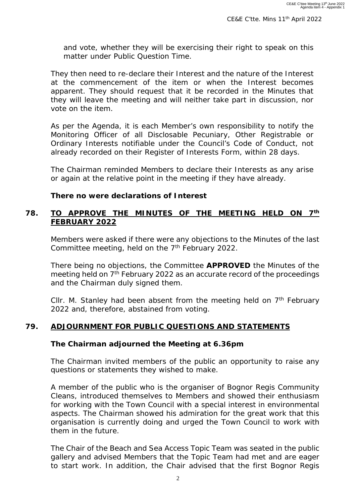and vote, whether they will be exercising their right to speak on this matter under Public Question Time.

They then need to re-declare their Interest and the nature of the Interest at the commencement of the item or when the Interest becomes apparent. They should request that it be recorded in the Minutes that they will leave the meeting and will neither take part in discussion, nor vote on the item.

As per the Agenda, it is each Member's own responsibility to notify the Monitoring Officer of all Disclosable Pecuniary, Other Registrable or Ordinary Interests notifiable under the Council's Code of Conduct, not already recorded on their Register of Interests Form, within 28 days.

The Chairman reminded Members to declare their Interests as any arise or again at the relative point in the meeting if they have already.

#### *There no were declarations of Interest*

#### **78. TO APPROVE THE MINUTES OF THE MEETING HELD ON 7th FEBRUARY 2022**

Members were asked if there were any objections to the Minutes of the last Committee meeting, held on the  $7<sup>th</sup>$  February 2022.

There being no objections, the Committee **APPROVED** the Minutes of the meeting held on 7<sup>th</sup> February 2022 as an accurate record of the proceedings and the Chairman duly signed them.

Cllr. M. Stanley had been absent from the meeting held on  $7<sup>th</sup>$  February 2022 and, therefore, abstained from voting.

#### **79. ADJOURNMENT FOR PUBLIC QUESTIONS AND STATEMENTS**

#### *The Chairman adjourned the Meeting at 6.36pm*

The Chairman invited members of the public an opportunity to raise any questions or statements they wished to make.

A member of the public who is the organiser of Bognor Regis Community Cleans, introduced themselves to Members and showed their enthusiasm for working with the Town Council with a special interest in environmental aspects. The Chairman showed his admiration for the great work that this organisation is currently doing and urged the Town Council to work with them in the future.

The Chair of the Beach and Sea Access Topic Team was seated in the public gallery and advised Members that the Topic Team had met and are eager to start work. In addition, the Chair advised that the first Bognor Regis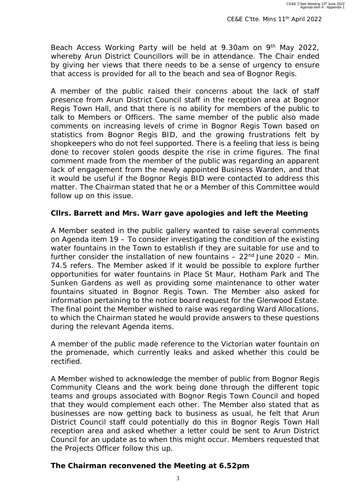Beach Access Working Party will be held at 9.30am on 9<sup>th</sup> May 2022, whereby Arun District Councillors will be in attendance. The Chair ended by giving her views that there needs to be a sense of urgency to ensure that access is provided for all to the beach and sea of Bognor Regis.

A member of the public raised their concerns about the lack of staff presence from Arun District Council staff in the reception area at Bognor Regis Town Hall, and that there is no ability for members of the public to talk to Members or Officers. The same member of the public also made comments on increasing levels of crime in Bognor Regis Town based on statistics from Bognor Regis BID, and the growing frustrations felt by shopkeepers who do not feel supported. There is a feeling that less is being done to recover stolen goods despite the rise in crime figures. The final comment made from the member of the public was regarding an apparent lack of engagement from the newly appointed Business Warden, and that it would be useful if the Bognor Regis BID were contacted to address this matter. The Chairman stated that he or a Member of this Committee would follow up on this issue.

#### *Cllrs. Barrett and Mrs. Warr gave apologies and left the Meeting*

A Member seated in the public gallery wanted to raise several comments on Agenda item 19 – To consider investigating the condition of the existing water fountains in the Town to establish if they are suitable for use and to further consider the installation of new fountains  $-22<sup>nd</sup>$  June 2020 – Min. 74.5 refers. The Member asked if it would be possible to explore further opportunities for water fountains in Place St Maur, Hotham Park and The Sunken Gardens as well as providing some maintenance to other water fountains situated in Bognor Regis Town. The Member also asked for information pertaining to the notice board request for the Glenwood Estate. The final point the Member wished to raise was regarding Ward Allocations, to which the Chairman stated he would provide answers to these questions during the relevant Agenda items.

A member of the public made reference to the Victorian water fountain on the promenade, which currently leaks and asked whether this could be rectified.

A Member wished to acknowledge the member of public from Bognor Regis Community Cleans and the work being done through the different topic teams and groups associated with Bognor Regis Town Council and hoped that they would complement each other. The Member also stated that as businesses are now getting back to business as usual, he felt that Arun District Council staff could potentially do this in Bognor Regis Town Hall reception area and asked whether a letter could be sent to Arun District Council for an update as to when this might occur. Members requested that the Projects Officer follow this up.

#### *The Chairman reconvened the Meeting at 6.52pm*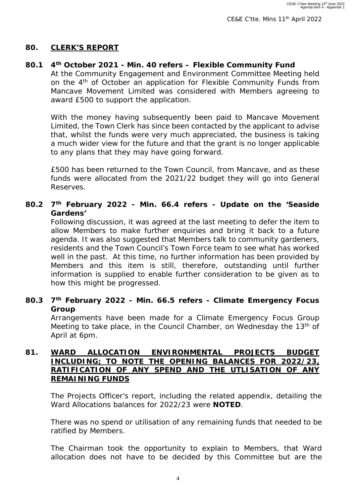#### **80. CLERK'S REPORT**

#### **80.1 4th October 2021 - Min. 40 refers – Flexible Community Fund**

At the Community Engagement and Environment Committee Meeting held on the 4<sup>th</sup> of October an application for Flexible Community Funds from Mancave Movement Limited was considered with Members agreeing to award £500 to support the application.

With the money having subsequently been paid to Mancave Movement Limited, the Town Clerk has since been contacted by the applicant to advise that, whilst the funds were very much appreciated, the business is taking a much wider view for the future and that the grant is no longer applicable to any plans that they may have going forward.

£500 has been returned to the Town Council, from Mancave, and as these funds were allocated from the 2021/22 budget they will go into General Reserves.

#### **80.2 7th February 2022 - Min. 66.4 refers - Update on the 'Seaside Gardens'**

Following discussion, it was agreed at the last meeting to defer the item to allow Members to make further enquiries and bring it back to a future agenda. It was also suggested that Members talk to community gardeners, residents and the Town Council's Town Force team to see what has worked well in the past. At this time, no further information has been provided by Members and this item is still, therefore, outstanding until further information is supplied to enable further consideration to be given as to how this might be progressed.

#### **80.3 7th February 2022 - Min. 66.5 refers - Climate Emergency Focus Group**

Arrangements have been made for a Climate Emergency Focus Group Meeting to take place, in the Council Chamber, on Wednesday the 13<sup>th</sup> of April at 6pm.

#### **81. WARD ALLOCATION ENVIRONMENTAL PROJECTS BUDGET INCLUDING; TO NOTE THE OPENING BALANCES FOR 2022/23, RATIFICATION OF ANY SPEND AND THE UTLISATION OF ANY REMAINING FUNDS**

The Projects Officer's report, including the related appendix, detailing the Ward Allocations balances for 2022/23 were **NOTED**.

There was no spend or utilisation of any remaining funds that needed to be ratified by Members.

The Chairman took the opportunity to explain to Members, that Ward allocation does not have to be decided by this Committee but are the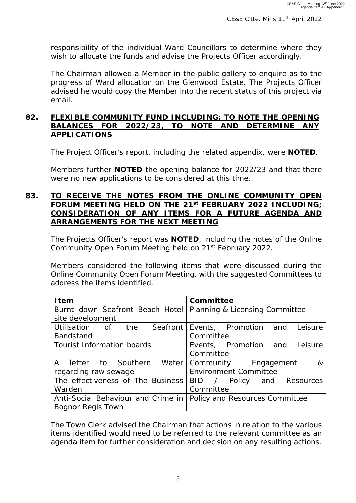responsibility of the individual Ward Councillors to determine where they wish to allocate the funds and advise the Projects Officer accordingly.

The Chairman allowed a Member in the public gallery to enquire as to the progress of Ward allocation on the Glenwood Estate. The Projects Officer advised he would copy the Member into the recent status of this project via email.

#### **82. FLEXIBLE COMMUNITY FUND INCLUDING; TO NOTE THE OPENING BALANCES FOR 2022/23, TO NOTE AND DETERMINE ANY APPLICATIONS**

The Project Officer's report, including the related appendix, were **NOTED**.

Members further **NOTED** the opening balance for 2022/23 and that there were no new applications to be considered at this time.

#### **83. TO RECEIVE THE NOTES FROM THE ONLINE COMMUNITY OPEN FORUM MEETING HELD ON THE 21st FEBRUARY 2022 INCLUDING; CONSIDERATION OF ANY ITEMS FOR A FUTURE AGENDA AND ARRANGEMENTS FOR THE NEXT MEETING**

The Projects Officer's report was **NOTED**, including the notes of the Online Community Open Forum Meeting held on 21<sup>st</sup> February 2022.

Members considered the following items that were discussed during the Online Community Open Forum Meeting, with the suggested Committees to address the items identified.

| <b>I</b> tem                                                  | Committee                        |  |  |  |  |
|---------------------------------------------------------------|----------------------------------|--|--|--|--|
| Burnt down Seafront Beach Hotel                               | Planning & Licensing Committee   |  |  |  |  |
| site development                                              |                                  |  |  |  |  |
| Utilisation of the Seafront                                   | Events, Promotion and<br>Leisure |  |  |  |  |
| <b>Bandstand</b>                                              | Committee                        |  |  |  |  |
| <b>Tourist Information boards</b>                             | Events, Promotion and<br>Leisure |  |  |  |  |
|                                                               | Committee                        |  |  |  |  |
| $\mathsf{A}$<br>letter to Southern Water Community Engagement | 8 <sup>2</sup>                   |  |  |  |  |
| regarding raw sewage                                          | <b>Environment Committee</b>     |  |  |  |  |
| The effectiveness of The Business                             | BID / Policy and Resources       |  |  |  |  |
| Warden                                                        | Committee                        |  |  |  |  |
| Anti-Social Behaviour and Crime in                            | Policy and Resources Committee   |  |  |  |  |
| <b>Bognor Regis Town</b>                                      |                                  |  |  |  |  |

The Town Clerk advised the Chairman that actions in relation to the various items identified would need to be referred to the relevant committee as an agenda item for further consideration and decision on any resulting actions.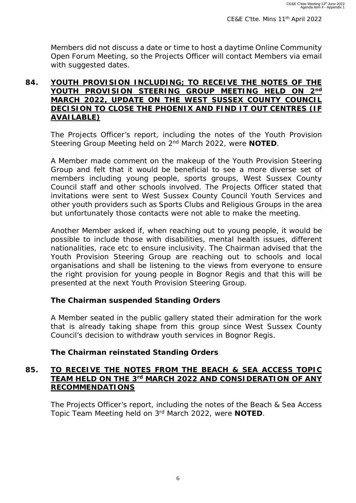Members did not discuss a date or time to host a daytime Online Community Open Forum Meeting, so the Projects Officer will contact Members via email with suggested dates.

#### **84. YOUTH PROVISION INCLUDING; TO RECEIVE THE NOTES OF THE YOUTH PROVISION STEERING GROUP MEETING HELD ON 2nd MARCH 2022, UPDATE ON THE WEST SUSSEX COUNTY COUNCIL DECISION TO CLOSE THE PHOENIX AND FIND IT OUT CENTRES (IF AVAILABLE)**

The Projects Officer's report, including the notes of the Youth Provision Steering Group Meeting held on 2nd March 2022, were **NOTED**.

A Member made comment on the makeup of the Youth Provision Steering Group and felt that it would be beneficial to see a more diverse set of members including young people, sports groups, West Sussex County Council staff and other schools involved. The Projects Officer stated that invitations were sent to West Sussex County Council Youth Services and other youth providers such as Sports Clubs and Religious Groups in the area but unfortunately those contacts were not able to make the meeting.

Another Member asked if, when reaching out to young people, it would be possible to include those with disabilities, mental health issues, different nationalities, race etc to ensure inclusivity. The Chairman advised that the Youth Provision Steering Group are reaching out to schools and local organisations and shall be listening to the views from everyone to ensure the right provision for young people in Bognor Regis and that this will be presented at the next Youth Provision Steering Group.

#### *The Chairman suspended Standing Orders*

A Member seated in the public gallery stated their admiration for the work that is already taking shape from this group since West Sussex County Council's decision to withdraw youth services in Bognor Regis.

#### *The Chairman reinstated Standing Orders*

#### **85. TO RECEIVE THE NOTES FROM THE BEACH & SEA ACCESS TOPIC TEAM HELD ON THE 3rd MARCH 2022 AND CONSIDERATION OF ANY RECOMMENDATIONS**

The Projects Officer's report, including the notes of the Beach & Sea Access Topic Team Meeting held on 3rd March 2022, were **NOTED**.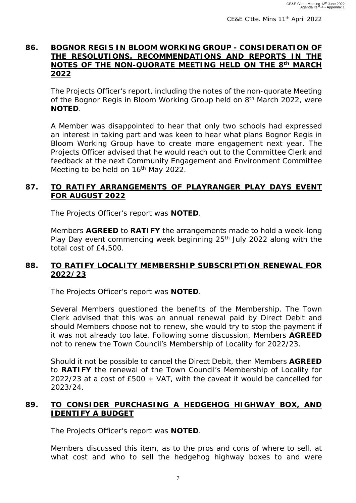#### **86. BOGNOR REGIS IN BLOOM WORKING GROUP - CONSIDERATION OF THE RESOLUTIONS, RECOMMENDATIONS AND REPORTS IN THE NOTES OF THE NON-QUORATE MEETING HELD ON THE 8th MARCH 2022**

The Projects Officer's report, including the notes of the non-quorate Meeting of the Bognor Regis in Bloom Working Group held on 8<sup>th</sup> March 2022, were **NOTED**.

A Member was disappointed to hear that only two schools had expressed an interest in taking part and was keen to hear what plans Bognor Regis in Bloom Working Group have to create more engagement next year. The Projects Officer advised that he would reach out to the Committee Clerk and feedback at the next Community Engagement and Environment Committee Meeting to be held on 16<sup>th</sup> May 2022.

#### **87. TO RATIFY ARRANGEMENTS OF PLAYRANGER PLAY DAYS EVENT FOR AUGUST 2022**

The Projects Officer's report was **NOTED**.

Members **AGREED** to **RATIFY** the arrangements made to hold a week-long Play Day event commencing week beginning  $25<sup>th</sup>$  July 2022 along with the total cost of £4,500.

#### **88. TO RATIFY LOCALITY MEMBERSHIP SUBSCRIPTION RENEWAL FOR 2022/23**

The Projects Officer's report was **NOTED**.

Several Members questioned the benefits of the Membership. The Town Clerk advised that this was an annual renewal paid by Direct Debit and should Members choose not to renew, she would try to stop the payment if it was not already too late. Following some discussion, Members **AGREED** not to renew the Town Council's Membership of Locality for 2022/23.

Should it not be possible to cancel the Direct Debit, then Members **AGREED** to **RATIFY** the renewal of the Town Council's Membership of Locality for 2022/23 at a cost of £500 + VAT, with the caveat it would be cancelled for 2023/24.

#### **89. TO CONSIDER PURCHASING A HEDGEHOG HIGHWAY BOX, AND IDENTIFY A BUDGET**

The Projects Officer's report was **NOTED**.

Members discussed this item, as to the pros and cons of where to sell, at what cost and who to sell the hedgehog highway boxes to and were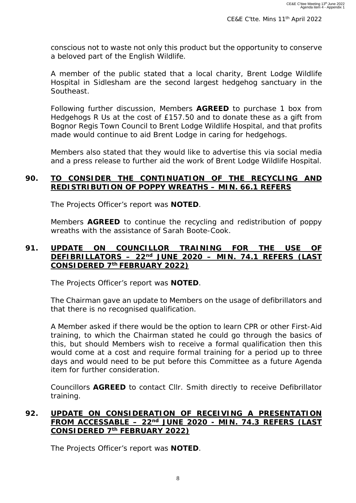conscious not to waste not only this product but the opportunity to conserve a beloved part of the English Wildlife.

A member of the public stated that a local charity, Brent Lodge Wildlife Hospital in Sidlesham are the second largest hedgehog sanctuary in the Southeast.

Following further discussion, Members **AGREED** to purchase 1 box from Hedgehogs R Us at the cost of £157.50 and to donate these as a gift from Bognor Regis Town Council to Brent Lodge Wildlife Hospital, and that profits made would continue to aid Brent Lodge in caring for hedgehogs.

Members also stated that they would like to advertise this via social media and a press release to further aid the work of Brent Lodge Wildlife Hospital.

#### **90. TO CONSIDER THE CONTINUATION OF THE RECYCLING AND REDISTRIBUTION OF POPPY WREATHS – MIN. 66.1 REFERS**

The Projects Officer's report was **NOTED**.

Members **AGREED** to continue the recycling and redistribution of poppy wreaths with the assistance of Sarah Boote-Cook.

#### **91. UPDATE ON COUNCILLOR TRAINING FOR THE USE OF DEFIBRILLATORS – 22nd JUNE 2020 – MIN. 74.1 REFERS (LAST CONSIDERED 7th FEBRUARY 2022)**

The Projects Officer's report was **NOTED**.

The Chairman gave an update to Members on the usage of defibrillators and that there is no recognised qualification.

A Member asked if there would be the option to learn CPR or other First-Aid training, to which the Chairman stated he could go through the basics of this, but should Members wish to receive a formal qualification then this would come at a cost and require formal training for a period up to three days and would need to be put before this Committee as a future Agenda item for further consideration.

Councillors **AGREED** to contact Cllr. Smith directly to receive Defibrillator training.

#### **92. UPDATE ON CONSIDERATION OF RECEIVING A PRESENTATION FROM ACCESSABLE – 22nd JUNE 2020 - MIN. 74.3 REFERS (LAST CONSIDERED 7th FEBRUARY 2022)**

The Projects Officer's report was **NOTED**.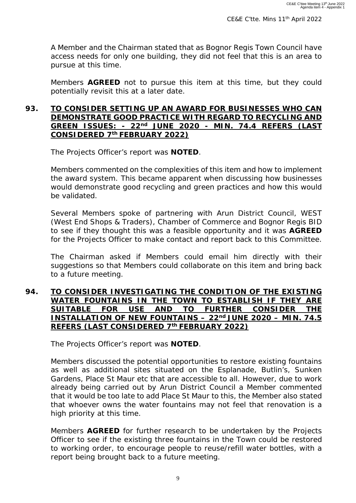A Member and the Chairman stated that as Bognor Regis Town Council have access needs for only one building, they did not feel that this is an area to pursue at this time.

Members **AGREED** not to pursue this item at this time, but they could potentially revisit this at a later date.

#### **93. TO CONSIDER SETTING UP AN AWARD FOR BUSINESSES WHO CAN DEMONSTRATE GOOD PRACTICE WITH REGARD TO RECYCLING AND GREEN ISSUES: - 22nd JUNE 2020 - MIN. 74.4 REFERS (LAST CONSIDERED 7th FEBRUARY 2022)**

The Projects Officer's report was **NOTED**.

Members commented on the complexities of this item and how to implement the award system. This became apparent when discussing how businesses would demonstrate good recycling and green practices and how this would be validated.

Several Members spoke of partnering with Arun District Council, WEST (West End Shops & Traders), Chamber of Commerce and Bognor Regis BID to see if they thought this was a feasible opportunity and it was **AGREED** for the Projects Officer to make contact and report back to this Committee.

The Chairman asked if Members could email him directly with their suggestions so that Members could collaborate on this item and bring back to a future meeting.

#### **94. TO CONSIDER INVESTIGATING THE CONDITION OF THE EXISTING WATER FOUNTAINS IN THE TOWN TO ESTABLISH IF THEY ARE SUITABLE FOR USE AND TO FURTHER CONSIDER THE INSTALLATION OF NEW FOUNTAINS - 22nd JUNE 2020 - MIN. 74.5 REFERS (LAST CONSIDERED 7th FEBRUARY 2022)**

The Projects Officer's report was **NOTED**.

Members discussed the potential opportunities to restore existing fountains as well as additional sites situated on the Esplanade, Butlin's, Sunken Gardens, Place St Maur etc that are accessible to all. However, due to work already being carried out by Arun District Council a Member commented that it would be too late to add Place St Maur to this, the Member also stated that whoever owns the water fountains may not feel that renovation is a high priority at this time.

Members **AGREED** for further research to be undertaken by the Projects Officer to see if the existing three fountains in the Town could be restored to working order, to encourage people to reuse/refill water bottles, with a report being brought back to a future meeting.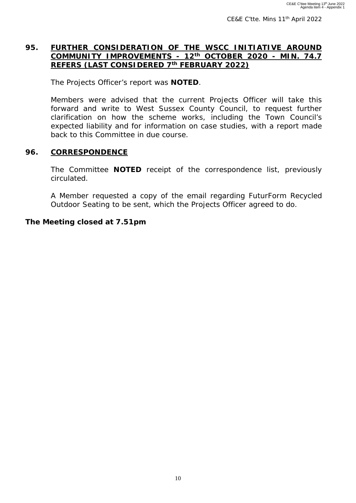CE&E C'tte. Mins 11<sup>th</sup> April 2022

#### **95. FURTHER CONSIDERATION OF THE WSCC INITIATIVE AROUND COMMUNITY IMPROVEMENTS - 12th OCTOBER 2020 - MIN. 74.7 REFERS (LAST CONSIDERED 7th FEBRUARY 2022)**

The Projects Officer's report was **NOTED**.

Members were advised that the current Projects Officer will take this forward and write to West Sussex County Council, to request further clarification on how the scheme works, including the Town Council's expected liability and for information on case studies, with a report made back to this Committee in due course.

#### **96. CORRESPONDENCE**

The Committee **NOTED** receipt of the correspondence list, previously circulated.

A Member requested a copy of the email regarding FuturForm Recycled Outdoor Seating to be sent, which the Projects Officer agreed to do.

#### *The Meeting closed at 7.51pm*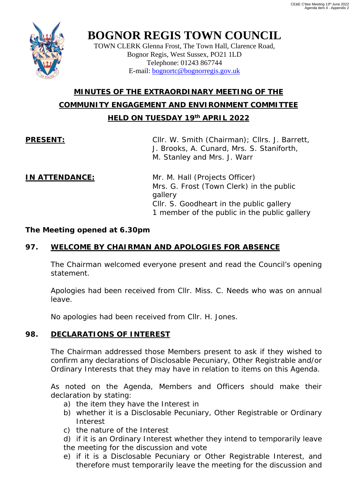

TOWN CLERK Glenna Frost, The Town Hall, Clarence Road, Bognor Regis, West Sussex, PO21 1LD Telephone: 01243 867744 E-mail: [bognortc@bognorregis.gov.uk](mailto:bognortc@bognorregis.gov.uk)

### **MINUTES OF THE EXTRAORDINARY MEETING OF THE COMMUNITY ENGAGEMENT AND ENVIRONMENT COMMITTEE HELD ON TUESDAY 19th APRIL 2022**

**PRESENT:** Cllr. W. Smith (Chairman); Cllrs. J. Barrett, J. Brooks, A. Cunard, Mrs. S. Staniforth, M. Stanley and Mrs. J. Warr

**IN ATTENDANCE:** Mr. M. Hall (Projects Officer) Mrs. G. Frost (Town Clerk) in the public gallery Cllr. S. Goodheart in the public gallery 1 member of the public in the public gallery

#### *The Meeting opened at 6.30pm*

#### **97. WELCOME BY CHAIRMAN AND APOLOGIES FOR ABSENCE**

The Chairman welcomed everyone present and read the Council's opening statement.

Apologies had been received from Cllr. Miss. C. Needs who was on annual leave.

No apologies had been received from Cllr. H. Jones.

#### **98. DECLARATIONS OF INTEREST**

The Chairman addressed those Members present to ask if they wished to confirm any declarations of Disclosable Pecuniary, Other Registrable and/or Ordinary Interests that they may have in relation to items on this Agenda.

As noted on the Agenda, Members and Officers should make their declaration by stating:

- a) the item they have the Interest in
- b) whether it is a Disclosable Pecuniary, Other Registrable or Ordinary Interest
- c) the nature of the Interest

d) if it is an Ordinary Interest whether they intend to temporarily leave the meeting for the discussion and vote

e) if it is a Disclosable Pecuniary or Other Registrable Interest, and therefore must temporarily leave the meeting for the discussion and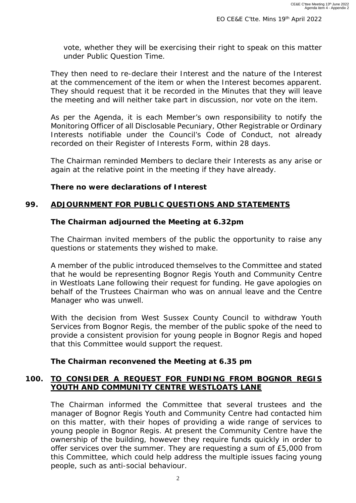vote, whether they will be exercising their right to speak on this matter under Public Question Time.

They then need to re-declare their Interest and the nature of the Interest at the commencement of the item or when the Interest becomes apparent. They should request that it be recorded in the Minutes that they will leave the meeting and will neither take part in discussion, nor vote on the item.

As per the Agenda, it is each Member's own responsibility to notify the Monitoring Officer of all Disclosable Pecuniary, Other Registrable or Ordinary Interests notifiable under the Council's Code of Conduct, not already recorded on their Register of Interests Form, within 28 days.

The Chairman reminded Members to declare their Interests as any arise or again at the relative point in the meeting if they have already.

#### *There no were declarations of Interest*

#### **99***.* **ADJOURNMENT FOR PUBLIC QUESTIONS AND STATEMENTS**

#### *The Chairman adjourned the Meeting at 6.32pm*

The Chairman invited members of the public the opportunity to raise any questions or statements they wished to make.

A member of the public introduced themselves to the Committee and stated that he would be representing Bognor Regis Youth and Community Centre in Westloats Lane following their request for funding. He gave apologies on behalf of the Trustees Chairman who was on annual leave and the Centre Manager who was unwell.

With the decision from West Sussex County Council to withdraw Youth Services from Bognor Regis, the member of the public spoke of the need to provide a consistent provision for young people in Bognor Regis and hoped that this Committee would support the request.

#### *The Chairman reconvened the Meeting at 6.35 pm*

#### **100. TO CONSIDER A REQUEST FOR FUNDING FROM BOGNOR REGIS YOUTH AND COMMUNITY CENTRE WESTLOATS LANE**

The Chairman informed the Committee that several trustees and the manager of Bognor Regis Youth and Community Centre had contacted him on this matter, with their hopes of providing a wide range of services to young people in Bognor Regis. At present the Community Centre have the ownership of the building, however they require funds quickly in order to offer services over the summer. They are requesting a sum of £5,000 from this Committee, which could help address the multiple issues facing young people, such as anti-social behaviour.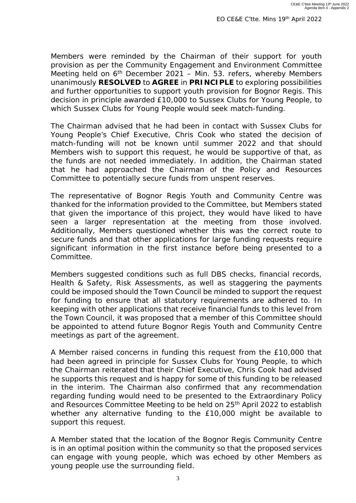Members were reminded by the Chairman of their support for youth provision as per the Community Engagement and Environment Committee Meeting held on  $6<sup>th</sup>$  December 2021 – Min. 53. refers, whereby Members unanimously **RESOLVED** to **AGREE** in **PRINCIPLE** to exploring possibilities and further opportunities to support youth provision for Bognor Regis. This decision in principle awarded £10,000 to Sussex Clubs for Young People, to which Sussex Clubs for Young People would seek match-funding.

The Chairman advised that he had been in contact with Sussex Clubs for Young People's Chief Executive, Chris Cook who stated the decision of match-funding will not be known until summer 2022 and that should Members wish to support this request, he would be supportive of that, as the funds are not needed immediately. In addition, the Chairman stated that he had approached the Chairman of the Policy and Resources Committee to potentially secure funds from unspent reserves.

The representative of Bognor Regis Youth and Community Centre was thanked for the information provided to the Committee, but Members stated that given the importance of this project, they would have liked to have seen a larger representation at the meeting from those involved. Additionally, Members questioned whether this was the correct route to secure funds and that other applications for large funding requests require significant information in the first instance before being presented to a Committee.

Members suggested conditions such as full DBS checks, financial records, Health & Safety, Risk Assessments, as well as staggering the payments could be imposed should the Town Council be minded to support the request for funding to ensure that all statutory requirements are adhered to. In keeping with other applications that receive financial funds to this level from the Town Council, it was proposed that a member of this Committee should be appointed to attend future Bognor Regis Youth and Community Centre meetings as part of the agreement.

A Member raised concerns in funding this request from the £10,000 that had been agreed in principle for Sussex Clubs for Young People, to which the Chairman reiterated that their Chief Executive, Chris Cook had advised he supports this request and is happy for some of this funding to be released in the interim. The Chairman also confirmed that any recommendation regarding funding would need to be presented to the Extraordinary Policy and Resources Committee Meeting to be held on 25<sup>th</sup> April 2022 to establish whether any alternative funding to the £10,000 might be available to support this request.

A Member stated that the location of the Bognor Regis Community Centre is in an optimal position within the community so that the proposed services can engage with young people, which was echoed by other Members as young people use the surrounding field.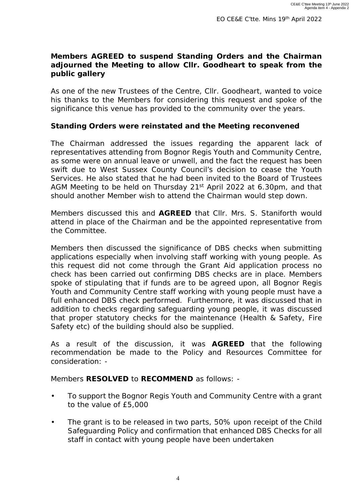#### *Members AGREED to suspend Standing Orders and the Chairman adjourned the Meeting to allow Cllr. Goodheart to speak from the public gallery*

As one of the new Trustees of the Centre, Cllr. Goodheart, wanted to voice his thanks to the Members for considering this request and spoke of the significance this venue has provided to the community over the years.

#### *Standing Orders were reinstated and the Meeting reconvened*

The Chairman addressed the issues regarding the apparent lack of representatives attending from Bognor Regis Youth and Community Centre, as some were on annual leave or unwell, and the fact the request has been swift due to West Sussex County Council's decision to cease the Youth Services. He also stated that he had been invited to the Board of Trustees AGM Meeting to be held on Thursday 21<sup>st</sup> April 2022 at 6.30pm, and that should another Member wish to attend the Chairman would step down.

Members discussed this and **AGREED** that Cllr. Mrs. S. Staniforth would attend in place of the Chairman and be the appointed representative from the Committee.

Members then discussed the significance of DBS checks when submitting applications especially when involving staff working with young people. As this request did not come through the Grant Aid application process no check has been carried out confirming DBS checks are in place. Members spoke of stipulating that if funds are to be agreed upon, all Bognor Regis Youth and Community Centre staff working with young people must have a full enhanced DBS check performed. Furthermore, it was discussed that in addition to checks regarding safeguarding young people, it was discussed that proper statutory checks for the maintenance (Health & Safety, Fire Safety etc) of the building should also be supplied.

As a result of the discussion, it was **AGREED** that the following recommendation be made to the Policy and Resources Committee for consideration: -

Members **RESOLVED** to **RECOMMEND** as follows: -

- To support the Bognor Regis Youth and Community Centre with a grant to the value of £5,000
- The grant is to be released in two parts, 50% upon receipt of the Child Safeguarding Policy and confirmation that enhanced DBS Checks for all staff in contact with young people have been undertaken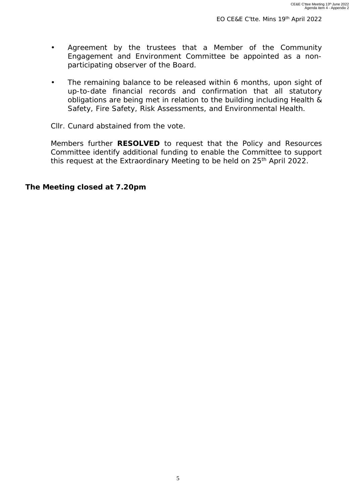- Agreement by the trustees that a Member of the Community Engagement and Environment Committee be appointed as a nonparticipating observer of the Board.
- The remaining balance to be released within 6 months, upon sight of up-to-date financial records and confirmation that all statutory obligations are being met in relation to the building including Health & Safety, Fire Safety, Risk Assessments, and Environmental Health.

Cllr. Cunard abstained from the vote.

Members further **RESOLVED** to request that the Policy and Resources Committee identify additional funding to enable the Committee to support this request at the Extraordinary Meeting to be held on 25<sup>th</sup> April 2022.

*The Meeting closed at 7.20pm*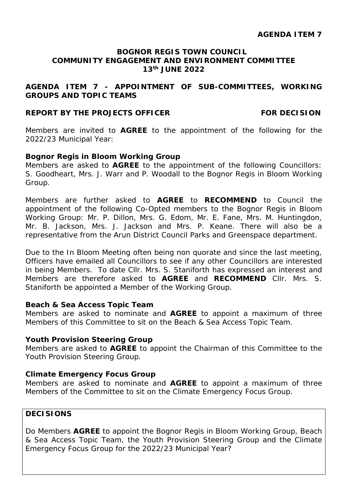#### **AGENDA ITEM 7 - APPOINTMENT OF SUB-COMMITTEES, WORKING GROUPS AND TOPIC TEAMS**

#### **REPORT BY THE PROJECTS OFFICER FOR DECISION**

Members are invited to **AGREE** to the appointment of the following for the 2022/23 Municipal Year:

#### **Bognor Regis in Bloom Working Group**

Members are asked to **AGREE** to the appointment of the following Councillors: S. Goodheart, Mrs. J. Warr and P. Woodall to the Bognor Regis in Bloom Working Group.

Members are further asked to **AGREE** to **RECOMMEND** to Council the appointment of the following Co-Opted members to the Bognor Regis in Bloom Working Group: Mr. P. Dillon, Mrs. G. Edom, Mr. E. Fane, Mrs. M. Huntingdon, Mr. B. Jackson, Mrs. J. Jackson and Mrs. P. Keane. There will also be a representative from the Arun District Council Parks and Greenspace department.

Due to the In Bloom Meeting often being non quorate and since the last meeting, Officers have emailed all Councillors to see if any other Councillors are interested in being Members. To date Cllr. Mrs. S. Staniforth has expressed an interest and Members are therefore asked to **AGREE** and **RECOMMEND** Cllr. Mrs. S. Staniforth be appointed a Member of the Working Group.

#### **Beach & Sea Access Topic Team**

Members are asked to nominate and **AGREE** to appoint a maximum of three Members of this Committee to sit on the Beach & Sea Access Topic Team.

#### **Youth Provision Steering Group**

Members are asked to **AGREE** to appoint the Chairman of this Committee to the Youth Provision Steering Group.

#### **Climate Emergency Focus Group**

Members are asked to nominate and **AGREE** to appoint a maximum of three Members of the Committee to sit on the Climate Emergency Focus Group.

#### **DECISIONS**

Do Members **AGREE** to appoint the Bognor Regis in Bloom Working Group, Beach & Sea Access Topic Team, the Youth Provision Steering Group and the Climate Emergency Focus Group for the 2022/23 Municipal Year?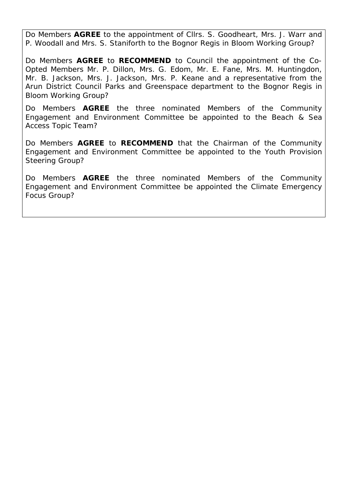Do Members **AGREE** to the appointment of Cllrs. S. Goodheart, Mrs. J. Warr and P. Woodall and Mrs. S. Staniforth to the Bognor Regis in Bloom Working Group?

Do Members **AGREE** to **RECOMMEND** to Council the appointment of the Co-Opted Members Mr. P. Dillon, Mrs. G. Edom, Mr. E. Fane, Mrs. M. Huntingdon, Mr. B. Jackson, Mrs. J. Jackson, Mrs. P. Keane and a representative from the Arun District Council Parks and Greenspace department to the Bognor Regis in Bloom Working Group?

Do Members **AGREE** the three nominated Members of the Community Engagement and Environment Committee be appointed to the Beach & Sea Access Topic Team?

Do Members **AGREE** to **RECOMMEND** that the Chairman of the Community Engagement and Environment Committee be appointed to the Youth Provision Steering Group?

Do Members **AGREE** the three nominated Members of the Community Engagement and Environment Committee be appointed the Climate Emergency Focus Group?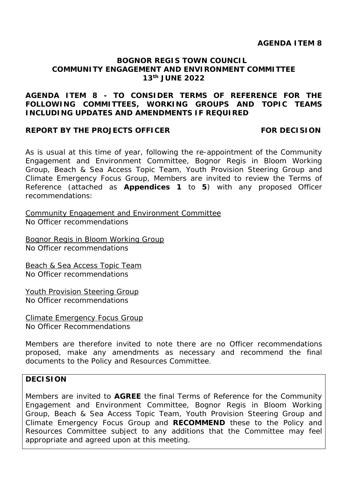#### **AGENDA ITEM 8 - TO CONSIDER TERMS OF REFERENCE FOR THE FOLLOWING COMMITTEES, WORKING GROUPS AND TOPIC TEAMS INCLUDING UPDATES AND AMENDMENTS IF REQUIRED**

#### **REPORT BY THE PROJECTS OFFICER FOR DECISION**

As is usual at this time of year, following the re-appointment of the Community Engagement and Environment Committee, Bognor Regis in Bloom Working Group, Beach & Sea Access Topic Team, Youth Provision Steering Group and Climate Emergency Focus Group, Members are invited to review the Terms of Reference (attached as **Appendices 1** to **5**) with any proposed Officer recommendations:

Community Engagement and Environment Committee No Officer recommendations

Bognor Regis in Bloom Working Group No Officer recommendations

Beach & Sea Access Topic Team No Officer recommendations

Youth Provision Steering Group No Officer recommendations

Climate Emergency Focus Group No Officer Recommendations

Members are therefore invited to note there are no Officer recommendations proposed, make any amendments as necessary and recommend the final documents to the Policy and Resources Committee.

#### **DECISION**

Members are invited to **AGREE** the final Terms of Reference for the Community Engagement and Environment Committee, Bognor Regis in Bloom Working Group, Beach & Sea Access Topic Team, Youth Provision Steering Group and Climate Emergency Focus Group and **RECOMMEND** these to the Policy and Resources Committee subject to any additions that the Committee may feel appropriate and agreed upon at this meeting.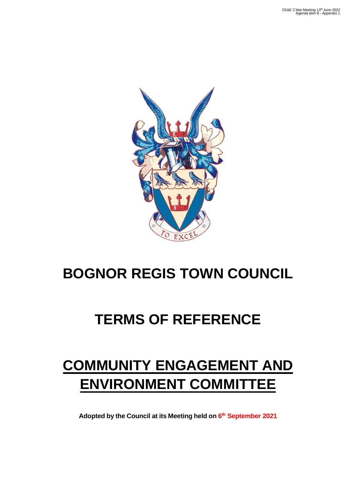

## **TERMS OF REFERENCE**

## **COMMUNITY ENGAGEMENT AND ENVIRONMENT COMMITTEE**

**Adopted by the Council at its Meeting held on 6 th September 2021**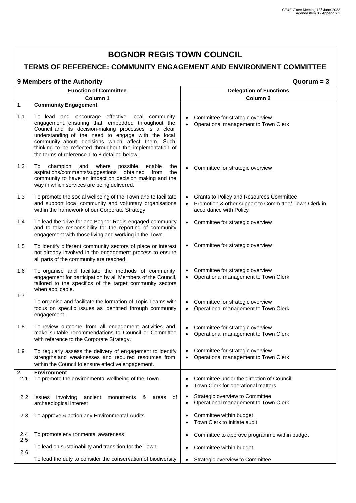### **TERMS OF REFERENCE: COMMUNITY ENGAGEMENT AND ENVIRONMENT COMMITTEE**

| 9 Members of the Authority | Quorum = 3 |
|----------------------------|------------|
|----------------------------|------------|

|            | <b>Function of Committee</b>                                                                                                                                                                                                                                                                                                                                                           | <b>Delegation of Functions</b>                                                                                                           |  |  |  |  |
|------------|----------------------------------------------------------------------------------------------------------------------------------------------------------------------------------------------------------------------------------------------------------------------------------------------------------------------------------------------------------------------------------------|------------------------------------------------------------------------------------------------------------------------------------------|--|--|--|--|
|            | Column 1                                                                                                                                                                                                                                                                                                                                                                               | Column <sub>2</sub>                                                                                                                      |  |  |  |  |
| 1.         | <b>Community Engagement</b>                                                                                                                                                                                                                                                                                                                                                            |                                                                                                                                          |  |  |  |  |
| 1.1        | To lead and encourage effective local community<br>engagement, ensuring that, embedded throughout the<br>Council and its decision-making processes is a clear<br>understanding of the need to engage with the local<br>community about decisions which affect them. Such<br>thinking to be reflected throughout the implementation of<br>the terms of reference 1 to 8 detailed below. | Committee for strategic overview<br>Operational management to Town Clerk<br>$\bullet$                                                    |  |  |  |  |
| 1.2        | champion<br>To<br>and<br>where<br>possible<br>enable<br>the<br>aspirations/comments/suggestions obtained from<br>the<br>community to have an impact on decision making and the<br>way in which services are being delivered.                                                                                                                                                           | Committee for strategic overview                                                                                                         |  |  |  |  |
| 1.3        | To promote the social wellbeing of the Town and to facilitate<br>and support local community and voluntary organisations<br>within the framework of our Corporate Strategy                                                                                                                                                                                                             | Grants to Policy and Resources Committee<br>Promotion & other support to Committee/ Town Clerk in<br>$\bullet$<br>accordance with Policy |  |  |  |  |
| 1.4        | To lead the drive for one Bognor Regis engaged community<br>and to take responsibility for the reporting of community<br>engagement with those living and working in the Town.                                                                                                                                                                                                         | Committee for strategic overview<br>$\bullet$                                                                                            |  |  |  |  |
| 1.5        | To identify different community sectors of place or interest<br>not already involved in the engagement process to ensure<br>all parts of the community are reached.                                                                                                                                                                                                                    | Committee for strategic overview                                                                                                         |  |  |  |  |
| 1.6        | To organise and facilitate the methods of community<br>engagement for participation by all Members of the Council,<br>tailored to the specifics of the target community sectors<br>when applicable.                                                                                                                                                                                    | Committee for strategic overview<br>Operational management to Town Clerk<br>$\bullet$                                                    |  |  |  |  |
| 1.7        | To organise and facilitate the formation of Topic Teams with<br>focus on specific issues as identified through community<br>engagement.                                                                                                                                                                                                                                                | Committee for strategic overview<br>$\bullet$<br>Operational management to Town Clerk<br>$\bullet$                                       |  |  |  |  |
| 1.8        | To review outcome from all engagement activities and<br>make suitable recommendations to Council or Committee<br>with reference to the Corporate Strategy.                                                                                                                                                                                                                             | Committee for strategic overview<br>$\bullet$<br>Operational management to Town Clerk<br>$\bullet$                                       |  |  |  |  |
| 1.9        | To regularly assess the delivery of engagement to identify<br>strengths and weaknesses and required resources from<br>within the Council to ensure effective engagement.                                                                                                                                                                                                               | Committee for strategic overview<br>٠<br>Operational management to Town Clerk                                                            |  |  |  |  |
| 2.<br>2.1  | <b>Environment</b><br>To promote the environmental wellbeing of the Town                                                                                                                                                                                                                                                                                                               | Committee under the direction of Council<br>Town Clerk for operational matters                                                           |  |  |  |  |
| 2.2        | of<br>Issues<br>involving<br>ancient<br>monuments<br>&<br>areas<br>archaeological interest                                                                                                                                                                                                                                                                                             | Strategic overview to Committee<br>Operational management to Town Clerk                                                                  |  |  |  |  |
| 2.3        | To approve & action any Environmental Audits                                                                                                                                                                                                                                                                                                                                           | Committee within budget<br>Town Clerk to initiate audit                                                                                  |  |  |  |  |
| 2.4<br>2.5 | To promote environmental awareness                                                                                                                                                                                                                                                                                                                                                     | Committee to approve programme within budget                                                                                             |  |  |  |  |
| 2.6        | To lead on sustainability and transition for the Town                                                                                                                                                                                                                                                                                                                                  | Committee within budget                                                                                                                  |  |  |  |  |
|            | To lead the duty to consider the conservation of biodiversity                                                                                                                                                                                                                                                                                                                          | Strategic overview to Committee                                                                                                          |  |  |  |  |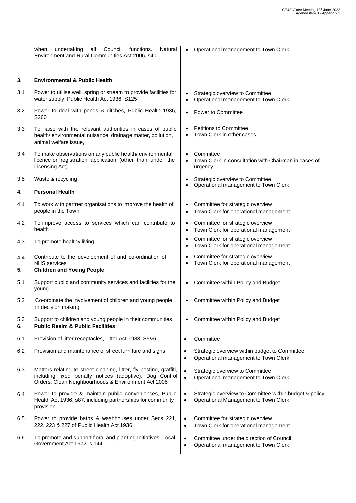|     | undertaking<br>all<br>Council<br>functions.<br>Natural<br>when<br>Environment and Rural Communities Act 2006, s40                                                                     |                        | Operational management to Town Clerk                                                           |
|-----|---------------------------------------------------------------------------------------------------------------------------------------------------------------------------------------|------------------------|------------------------------------------------------------------------------------------------|
| 3.  | <b>Environmental &amp; Public Health</b>                                                                                                                                              |                        |                                                                                                |
|     |                                                                                                                                                                                       |                        |                                                                                                |
| 3.1 | Power to utilise well, spring or stream to provide facilities for<br>water supply, Public Health Act 1936, S125                                                                       |                        | Strategic overview to Committee<br>Operational management to Town Clerk                        |
| 3.2 | Power to deal with ponds & ditches, Public Health 1936,<br>S <sub>260</sub>                                                                                                           | $\bullet$              | Power to Committee                                                                             |
| 3.3 | To liaise with the relevant authorities in cases of public<br>health/environmental nuisance, drainage matter, pollution,<br>animal welfare issue,                                     |                        | <b>Petitions to Committee</b><br>Town Clerk in other cases                                     |
| 3.4 | To make observations on any public health/environmental<br>licence or registration application (other than under the<br>Licensing Act)                                                |                        | Committee<br>Town Clerk in consultation with Chairman in cases of<br>urgency                   |
| 3.5 | Waste & recycling                                                                                                                                                                     |                        | Strategic overview to Committee<br>Operational management to Town Clerk                        |
| 4.  | <b>Personal Health</b>                                                                                                                                                                |                        |                                                                                                |
| 4.1 | To work with partner organisations to improve the health of<br>people in the Town                                                                                                     | $\bullet$              | Committee for strategic overview<br>Town Clerk for operational management                      |
| 4.2 | To improve access to services which can contribute to<br>health                                                                                                                       | $\bullet$<br>$\bullet$ | Committee for strategic overview<br>Town Clerk for operational management                      |
| 4.3 | To promote healthy living                                                                                                                                                             | ٠<br>$\bullet$         | Committee for strategic overview<br>Town Clerk for operational management                      |
| 4.4 | Contribute to the development of and co-ordination of<br><b>NHS</b> services                                                                                                          | $\bullet$<br>$\bullet$ | Committee for strategic overview<br>Town Clerk for operational management                      |
| 5.  | <b>Children and Young People</b>                                                                                                                                                      |                        |                                                                                                |
| 5.1 | Support public and community services and facilities for the<br>young                                                                                                                 | $\bullet$              | Committee within Policy and Budget                                                             |
| 5.2 | Co-ordinate the involvement of children and young people<br>in decision making                                                                                                        |                        | Committee within Policy and Budget                                                             |
| 5.3 | Support to children and young people in their communities                                                                                                                             | $\bullet$              | Committee within Policy and Budget                                                             |
| 6.  | <b>Public Realm &amp; Public Facilities</b>                                                                                                                                           |                        |                                                                                                |
| 6.1 | Provision of litter receptacles, Litter Act 1983, S5&6                                                                                                                                | $\bullet$              | Committee                                                                                      |
| 6.2 | Provision and maintenance of street furniture and signs                                                                                                                               | $\bullet$<br>$\bullet$ | Strategic overview within budget to Committee<br>Operational management to Town Clerk          |
| 6.3 | Matters relating to street cleaning, litter, fly posting, graffiti,<br>including fixed penalty notices (adoptive). Dog Control<br>Orders, Clean Neighbourhoods & Environment Act 2005 | $\bullet$<br>$\bullet$ | Strategic overview to Committee<br>Operational management to Town Clerk                        |
| 6.4 | Power to provide & maintain public conveniences, Public<br>Health Act 1936, s87, including partnerships for community<br>provision.                                                   | $\bullet$<br>$\bullet$ | Strategic overview to Committee within budget & policy<br>Operational Management to Town Clerk |
| 6.5 | Power to provide baths & washhouses under Secs 221,<br>222, 223 & 227 of Public Health Act 1936                                                                                       | $\bullet$<br>$\bullet$ | Committee for strategic overview<br>Town Clerk for operational management                      |
| 6.6 | To promote and support floral and planting Initiatives, Local<br>Government Act 1972. s 144                                                                                           | $\bullet$<br>$\bullet$ | Committee under the direction of Council<br>Operational management to Town Clerk               |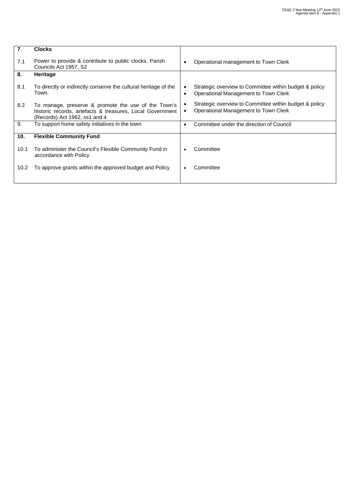| 7.   | <b>Clocks</b>                                                                                                                                     |                                                                                                             |  |
|------|---------------------------------------------------------------------------------------------------------------------------------------------------|-------------------------------------------------------------------------------------------------------------|--|
| 7.1  | Power to provide & contribute to public clocks, Parish<br>Councils Act 1957, S2                                                                   | Operational management to Town Clerk                                                                        |  |
| 8.   | Heritage                                                                                                                                          |                                                                                                             |  |
| 8.1  | To directly or indirectly conserve the cultural heritage of the<br>Town.                                                                          | Strategic overview to Committee within budget & policy<br>Operational Management to Town Clerk<br>$\bullet$ |  |
| 8.2  | To manage, preserve & promote the use of the Town's<br>historic records, artefacts & treasures, Local Government<br>(Records) Act 1962, ss1 and 4 | Strategic overview to Committee within budget & policy<br>Operational Management to Town Clerk              |  |
| 9.   | To support home safety initiatives in the town                                                                                                    | Committee under the direction of Council                                                                    |  |
| 10.  | <b>Flexible Community Fund</b>                                                                                                                    |                                                                                                             |  |
| 10.1 | To administer the Council's Flexible Community Fund in<br>accordance with Policy                                                                  | Committee                                                                                                   |  |
| 10.2 | To approve grants within the approved budget and Policy                                                                                           | Committee                                                                                                   |  |
|      |                                                                                                                                                   |                                                                                                             |  |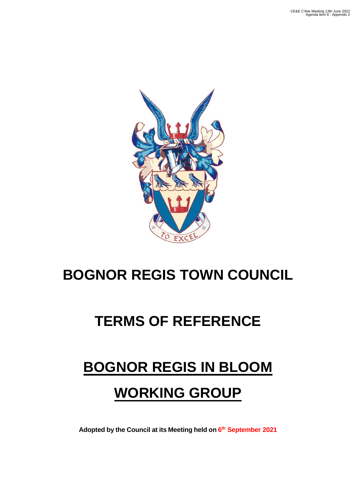

## **TERMS OF REFERENCE**

# **BOGNOR REGIS IN BLOOM WORKING GROUP**

**Adopted by the Council at its Meeting held on 6 th September 2021**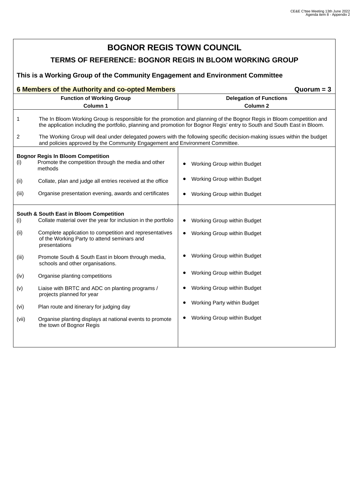| <b>BOGNOR REGIS TOWN COUNCIL</b>                                              |                                                                                                                         |                                                                                                                                                                                                                                                    |  |  |  |  |  |
|-------------------------------------------------------------------------------|-------------------------------------------------------------------------------------------------------------------------|----------------------------------------------------------------------------------------------------------------------------------------------------------------------------------------------------------------------------------------------------|--|--|--|--|--|
| TERMS OF REFERENCE: BOGNOR REGIS IN BLOOM WORKING GROUP                       |                                                                                                                         |                                                                                                                                                                                                                                                    |  |  |  |  |  |
| This is a Working Group of the Community Engagement and Environment Committee |                                                                                                                         |                                                                                                                                                                                                                                                    |  |  |  |  |  |
|                                                                               | 6 Members of the Authority and co-opted Members<br>$Quorum = 3$                                                         |                                                                                                                                                                                                                                                    |  |  |  |  |  |
|                                                                               | <b>Function of Working Group</b><br>Column 1                                                                            | <b>Delegation of Functions</b><br>Column <sub>2</sub>                                                                                                                                                                                              |  |  |  |  |  |
|                                                                               |                                                                                                                         |                                                                                                                                                                                                                                                    |  |  |  |  |  |
| 1                                                                             |                                                                                                                         | The In Bloom Working Group is responsible for the promotion and planning of the Bognor Regis in Bloom competition and<br>the application including the portfolio, planning and promotion for Bognor Regis' entry to South and South East in Bloom. |  |  |  |  |  |
| 2                                                                             | and policies approved by the Community Engagement and Environment Committee.                                            | The Working Group will deal under delegated powers with the following specific decision-making issues within the budget                                                                                                                            |  |  |  |  |  |
|                                                                               | <b>Bognor Regis In Bloom Competition</b>                                                                                |                                                                                                                                                                                                                                                    |  |  |  |  |  |
| (i)                                                                           | Promote the competition through the media and other<br>methods                                                          | Working Group within Budget                                                                                                                                                                                                                        |  |  |  |  |  |
| (ii)                                                                          | Collate, plan and judge all entries received at the office                                                              | Working Group within Budget                                                                                                                                                                                                                        |  |  |  |  |  |
| (iii)                                                                         | Organise presentation evening, awards and certificates                                                                  | Working Group within Budget                                                                                                                                                                                                                        |  |  |  |  |  |
|                                                                               | South & South East in Bloom Competition                                                                                 |                                                                                                                                                                                                                                                    |  |  |  |  |  |
| (i)                                                                           | Collate material over the year for inclusion in the portfolio                                                           | Working Group within Budget<br>٠                                                                                                                                                                                                                   |  |  |  |  |  |
| (ii)                                                                          | Complete application to competition and representatives<br>of the Working Party to attend seminars and<br>presentations | Working Group within Budget<br>$\bullet$                                                                                                                                                                                                           |  |  |  |  |  |
| (iii)                                                                         | Promote South & South East in bloom through media,<br>schools and other organisations.                                  | Working Group within Budget                                                                                                                                                                                                                        |  |  |  |  |  |
| (iv)                                                                          | Organise planting competitions                                                                                          | Working Group within Budget<br>$\bullet$                                                                                                                                                                                                           |  |  |  |  |  |
| (v)                                                                           | Liaise with BRTC and ADC on planting programs /<br>projects planned for year                                            | Working Group within Budget                                                                                                                                                                                                                        |  |  |  |  |  |
| (vi)                                                                          | Plan route and itinerary for judging day                                                                                | Working Party within Budget                                                                                                                                                                                                                        |  |  |  |  |  |
| (vii)                                                                         | Organise planting displays at national events to promote<br>the town of Bognor Regis                                    | Working Group within Budget                                                                                                                                                                                                                        |  |  |  |  |  |
|                                                                               |                                                                                                                         |                                                                                                                                                                                                                                                    |  |  |  |  |  |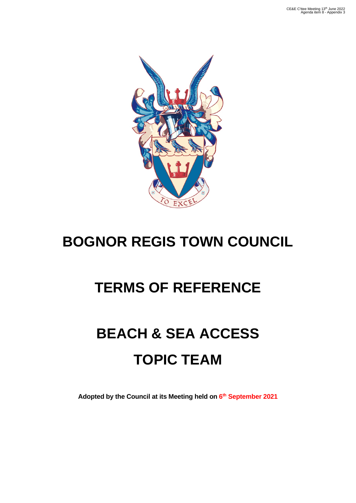

## **TERMS OF REFERENCE**

# **BEACH & SEA ACCESS TOPIC TEAM**

**Adopted by the Council at its Meeting held on 6 th September 2021**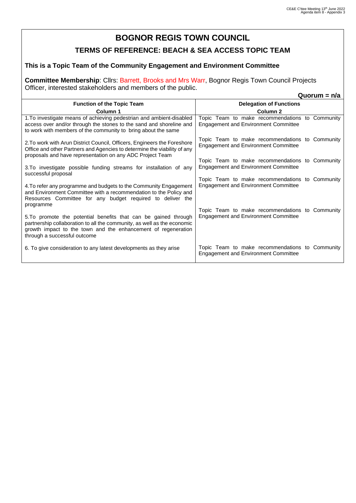#### **TERMS OF REFERENCE: BEACH & SEA ACCESS TOPIC TEAM**

#### **This is a Topic Team of the Community Engagement and Environment Committee**

**Committee Membership**: Cllrs: Barrett, Brooks and Mrs Warr, Bognor Regis Town Council Projects Officer, interested stakeholders and members of the public.

|                                                                                                                                                                                                                                             | Quorum = $n/a$                                                                                 |
|---------------------------------------------------------------------------------------------------------------------------------------------------------------------------------------------------------------------------------------------|------------------------------------------------------------------------------------------------|
| <b>Function of the Topic Team</b>                                                                                                                                                                                                           | <b>Delegation of Functions</b>                                                                 |
| Column 1                                                                                                                                                                                                                                    | Column <sub>2</sub>                                                                            |
| 1. To investigate means of achieving pedestrian and ambient-disabled<br>access over and/or through the stones to the sand and shoreline and<br>to work with members of the community to bring about the same                                | Topic Team to make recommendations to Community<br><b>Engagement and Environment Committee</b> |
| 2. To work with Arun District Council, Officers, Engineers the Foreshore<br>Office and other Partners and Agencies to determine the viability of any<br>proposals and have representation on any ADC Project Team                           | Topic Team to make recommendations to Community<br><b>Engagement and Environment Committee</b> |
| 3. To investigate possible funding streams for installation of any<br>successful proposal                                                                                                                                                   | Topic Team to make recommendations to Community<br><b>Engagement and Environment Committee</b> |
| 4. To refer any programme and budgets to the Community Engagement<br>and Environment Committee with a recommendation to the Policy and<br>Resources Committee for any budget required to deliver the<br>programme                           | Topic Team to make recommendations to Community<br><b>Engagement and Environment Committee</b> |
| 5. To promote the potential benefits that can be gained through<br>partnership collaboration to all the community, as well as the economic<br>growth impact to the town and the enhancement of regeneration<br>through a successful outcome | Topic Team to make recommendations to Community<br><b>Engagement and Environment Committee</b> |
| 6. To give consideration to any latest developments as they arise                                                                                                                                                                           | Topic Team to make recommendations to Community<br><b>Engagement and Environment Committee</b> |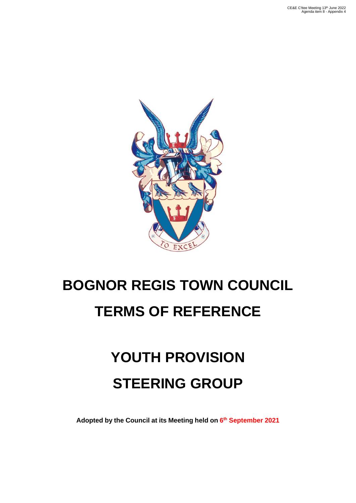

# **BOGNOR REGIS TOWN COUNCIL TERMS OF REFERENCE**

# **YOUTH PROVISION STEERING GROUP**

**Adopted by the Council at its Meeting held on 6 th September 2021**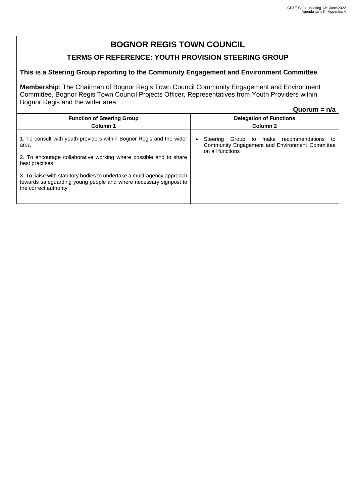#### **TERMS OF REFERENCE: YOUTH PROVISION STEERING GROUP**

#### **This is a Steering Group reporting to the Community Engagement and Environment Committee**

**Membership**: The Chairman of Bognor Regis Town Council Community Engagement and Environment Committee, Bognor Regis Town Council Projects Officer, Representatives from Youth Providers within Bognor Regis and the wider area

**Quorum = n/a**

| <b>Function of Steering Group</b><br>Column 1                                                                                                                                                                                                                                                                                                | <b>Delegation of Functions</b><br>Column <sub>2</sub>                                                                 |  |  |  |
|----------------------------------------------------------------------------------------------------------------------------------------------------------------------------------------------------------------------------------------------------------------------------------------------------------------------------------------------|-----------------------------------------------------------------------------------------------------------------------|--|--|--|
| 1. To consult with youth providers within Bognor Regis and the wider<br>area<br>2. To encourage collaborative working where possible and to share<br>best practises<br>3. To liaise with statutory bodies to undertake a multi-agency approach<br>towards safeguarding young people and where necessary signpost to<br>the correct authority | Group to make recommendations<br>Steering<br>to<br>Community Engagement and Environment Committee<br>on all functions |  |  |  |
|                                                                                                                                                                                                                                                                                                                                              |                                                                                                                       |  |  |  |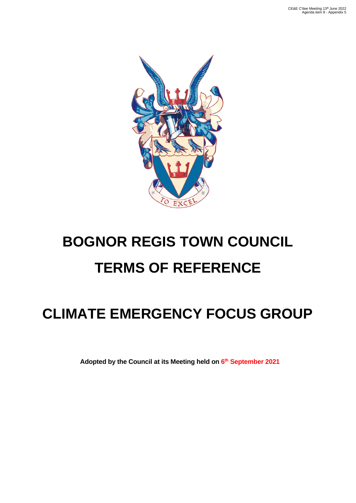

# **BOGNOR REGIS TOWN COUNCIL TERMS OF REFERENCE**

## **CLIMATE EMERGENCY FOCUS GROUP**

**Adopted by the Council at its Meeting held on 6 th September 2021**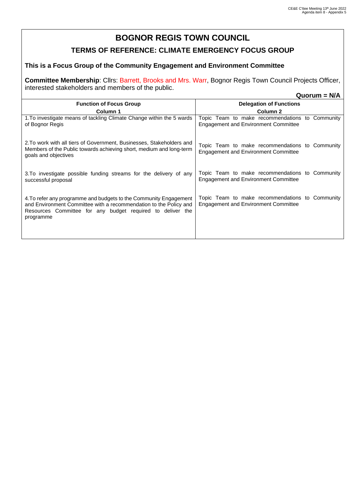### **TERMS OF REFERENCE: CLIMATE EMERGENCY FOCUS GROUP**

#### **This is a Focus Group of the Community Engagement and Environment Committee**

**Committee Membership**: Cllrs: Barrett, Brooks and Mrs. Warr, Bognor Regis Town Council Projects Officer, interested stakeholders and members of the public.

|                                                                                                                                                                                                                   | $Quorum = N/A$                                                                                 |
|-------------------------------------------------------------------------------------------------------------------------------------------------------------------------------------------------------------------|------------------------------------------------------------------------------------------------|
| <b>Function of Focus Group</b>                                                                                                                                                                                    | <b>Delegation of Functions</b>                                                                 |
| Column 1                                                                                                                                                                                                          | Column <sub>2</sub>                                                                            |
| 1. To investigate means of tackling Climate Change within the 5 wards<br>of Bognor Regis                                                                                                                          | Topic Team to make recommendations to Community<br><b>Engagement and Environment Committee</b> |
| 2. To work with all tiers of Government, Businesses, Stakeholders and<br>Members of the Public towards achieving short, medium and long-term<br>goals and objectives                                              | Topic Team to make recommendations to Community<br><b>Engagement and Environment Committee</b> |
| 3. To investigate possible funding streams for the delivery of any<br>successful proposal                                                                                                                         | Topic Team to make recommendations to Community<br><b>Engagement and Environment Committee</b> |
| 4. To refer any programme and budgets to the Community Engagement<br>and Environment Committee with a recommendation to the Policy and<br>Resources Committee for any budget required to deliver the<br>programme | Topic Team to make recommendations to Community<br><b>Engagement and Environment Committee</b> |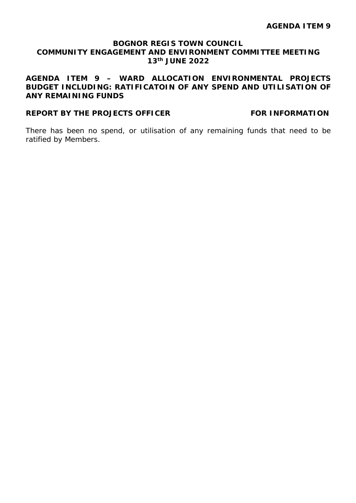#### **AGENDA ITEM 9 – WARD ALLOCATION ENVIRONMENTAL PROJECTS BUDGET INCLUDING: RATIFICATOIN OF ANY SPEND AND UTILISATION OF ANY REMAINING FUNDS**

#### **REPORT BY THE PROJECTS OFFICER FOR INFORMATION**

There has been no spend, or utilisation of any remaining funds that need to be ratified by Members.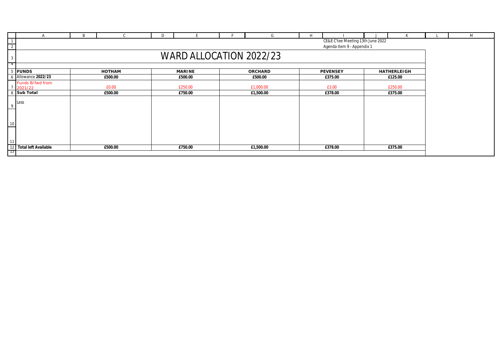|                                                                                   | <sub>B</sub> |         | D. |               |  | G              | H |                 |                    | M |
|-----------------------------------------------------------------------------------|--------------|---------|----|---------------|--|----------------|---|-----------------|--------------------|---|
| CE&E C'tee Meeting 13th June 2022<br>$\overline{2}$<br>Agenda Item 9 - Appendix 1 |              |         |    |               |  |                |   |                 |                    |   |
| WARD ALLOCATION 2022/23<br>-3                                                     |              |         |    |               |  |                |   |                 |                    |   |
| $-4$<br><b>FUNDS</b><br>5                                                         |              | HOTHAM  |    | <b>MARINE</b> |  | <b>ORCHARD</b> |   | <b>PEVENSEY</b> | <b>HATHERLEIGH</b> |   |
| Allowance 2022/23                                                                 |              | £500.00 |    | £500.00       |  | £500.00        |   | £375.00         | £125.00            |   |
| Funds B/fwd from<br>2021/22                                                       |              | £0.00   |    | £250.00       |  | £1,000.00      |   | £3.00           | £250.00            |   |
| 8 Sub Total                                                                       |              | £500.00 |    | £750.00       |  | £1,500.00      |   | £378.00         | £375.00            |   |
| Less<br>9                                                                         |              |         |    |               |  |                |   |                 |                    |   |
| 10                                                                                |              |         |    |               |  |                |   |                 |                    |   |
| 11<br>12 Total left Available                                                     |              | £500.00 |    | £750.00       |  | £1,500.00      |   | £378.00         | £375.00            |   |
| $\overline{13}$                                                                   |              |         |    |               |  |                |   |                 |                    |   |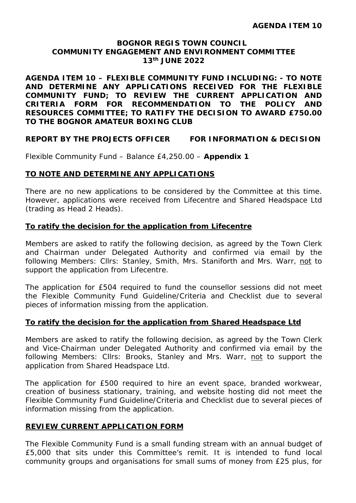**AGENDA ITEM 10 – FLEXIBLE COMMUNITY FUND INCLUDING: - TO NOTE AND DETERMINE ANY APPLICATIONS RECEIVED FOR THE FLEXIBLE COMMUNITY FUND; TO REVIEW THE CURRENT APPLICATION AND CRITERIA FORM FOR RECOMMENDATION TO THE POLICY AND RESOURCES COMMITTEE; TO RATIFY THE DECISION TO AWARD £750.00 TO THE BOGNOR AMATEUR BOXING CLUB**

#### **REPORT BY THE PROJECTS OFFICER FOR INFORMATION & DECISION**

Flexible Community Fund – Balance £4,250.00 – **Appendix 1**

#### **TO NOTE AND DETERMINE ANY APPLICATIONS**

There are no new applications to be considered by the Committee at this time. However, applications were received from Lifecentre and Shared Headspace Ltd (trading as Head 2 Heads).

#### **To ratify the decision for the application from Lifecentre**

Members are asked to ratify the following decision, as agreed by the Town Clerk and Chairman under Delegated Authority and confirmed via email by the following Members: Cllrs: Stanley, Smith, Mrs. Staniforth and Mrs. Warr, not to support the application from Lifecentre.

The application for £504 required to fund the counsellor sessions did not meet the Flexible Community Fund Guideline/Criteria and Checklist due to several pieces of information missing from the application.

#### **To ratify the decision for the application from Shared Headspace Ltd**

Members are asked to ratify the following decision, as agreed by the Town Clerk and Vice-Chairman under Delegated Authority and confirmed via email by the following Members: Cllrs: Brooks, Stanley and Mrs. Warr, not to support the application from Shared Headspace Ltd.

The application for £500 required to hire an event space, branded workwear, creation of business stationary, training, and website hosting did not meet the Flexible Community Fund Guideline/Criteria and Checklist due to several pieces of information missing from the application.

#### **REVIEW CURRENT APPLICATION FORM**

The Flexible Community Fund is a small funding stream with an annual budget of £5,000 that sits under this Committee's remit. It is intended to fund local community groups and organisations for small sums of money from £25 plus, for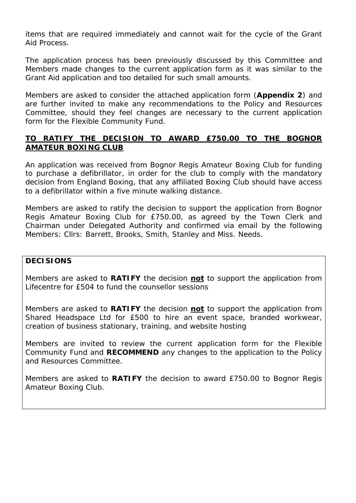items that are required immediately and cannot wait for the cycle of the Grant Aid Process.

The application process has been previously discussed by this Committee and Members made changes to the current application form as it was similar to the Grant Aid application and too detailed for such small amounts.

Members are asked to consider the attached application form (**Appendix 2**) and are further invited to make any recommendations to the Policy and Resources Committee, should they feel changes are necessary to the current application form for the Flexible Community Fund.

#### **TO RATIFY THE DECISION TO AWARD £750.00 TO THE BOGNOR AMATEUR BOXING CLUB**

An application was received from Bognor Regis Amateur Boxing Club for funding to purchase a defibrillator, in order for the club to comply with the mandatory decision from England Boxing, that any affiliated Boxing Club should have access to a defibrillator within a five minute walking distance.

Members are asked to ratify the decision to support the application from Bognor Regis Amateur Boxing Club for £750.00, as agreed by the Town Clerk and Chairman under Delegated Authority and confirmed via email by the following Members: Cllrs: Barrett, Brooks, Smith, Stanley and Miss. Needs.

#### **DECISIONS**

Members are asked to **RATIFY** the decision **not** to support the application from Lifecentre for £504 to fund the counsellor sessions

Members are asked to **RATIFY** the decision **not** to support the application from Shared Headspace Ltd for £500 to hire an event space, branded workwear, creation of business stationary, training, and website hosting

Members are invited to review the current application form for the Flexible Community Fund and **RECOMMEND** any changes to the application to the Policy and Resources Committee.

Members are asked to **RATIFY** the decision to award £750.00 to Bognor Regis Amateur Boxing Club.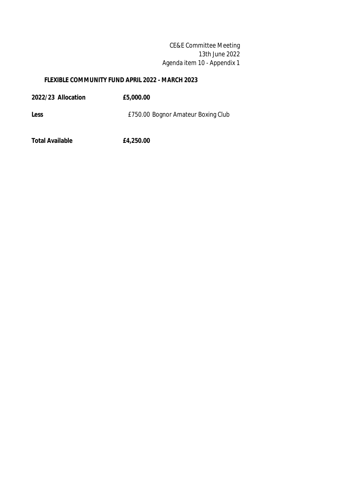CE&E Committee Meeting 13th June 2022 Agenda item 10 - Appendix 1

#### **FLEXIBLE COMMUNITY FUND APRIL 2022 - MARCH 2023**

| 2022/23 Allocation | £5,000.00                          |
|--------------------|------------------------------------|
| Less               | £750.00 Bognor Amateur Boxing Club |
|                    |                                    |

**Total Available £4,250.00**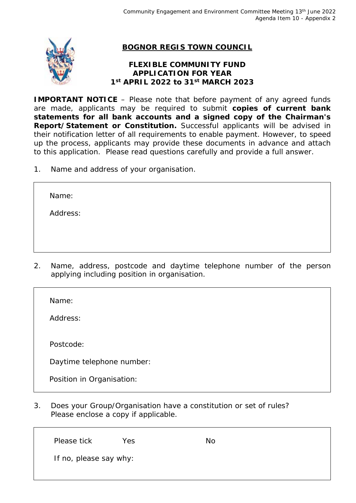

#### **FLEXIBLE COMMUNITY FUND APPLICATION FOR YEAR 1st APRIL 2022 to 31st MARCH 2023**

**IMPORTANT NOTICE** – Please note that before payment of any agreed funds are made, applicants may be required to submit **copies of current bank statements for all bank accounts and a signed copy of the Chairman's Report/Statement or Constitution.** Successful applicants will be advised in their notification letter of all requirements to enable payment. However, to speed up the process, applicants may provide these documents in advance and attach to this application. Please read questions carefully and provide a full answer.

1. Name and address of your organisation.

Name:

Address:

2. Name, address, postcode and daytime telephone number of the person applying including position in organisation.

Name:

Address:

Postcode:

Daytime telephone number:

Position in Organisation:

3. Does your Group/Organisation have a constitution or set of rules? Please enclose a copy if applicable.

Please tick Yes No If no, please say why: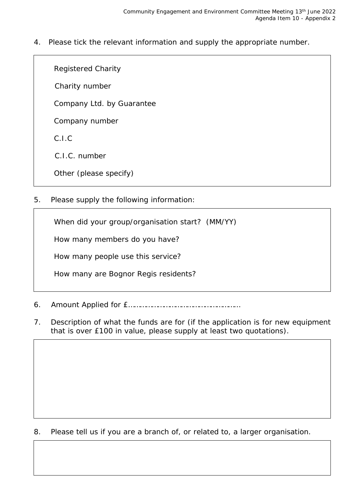4. Please tick the relevant information and supply the appropriate number.

Registered Charity

Charity number

Company Ltd. by Guarantee

Company number

C.I.C

C.I.C. number

Other (please specify)

5. Please supply the following information:

When did your group/organisation start? (MM/YY)

How many members do you have?

How many people use this service?

How many are Bognor Regis residents?

6. Amount Applied for £…………………………………………………

7. Description of what the funds are for (if the application is for new equipment that is over £100 in value, please supply at least two quotations).

8. Please tell us if you are a branch of, or related to, a larger organisation.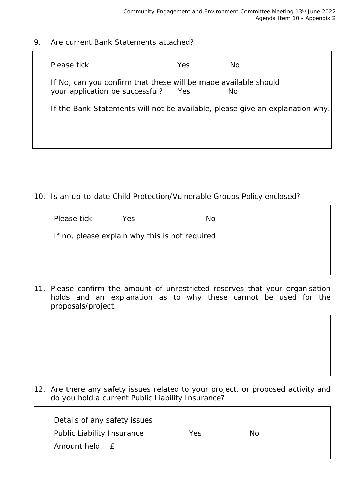٦

9. Are current Bank Statements attached?

| Please tick                                                                                        | <b>Yes</b> | Nο  |  |
|----------------------------------------------------------------------------------------------------|------------|-----|--|
| If No, can you confirm that these will be made available should<br>your application be successful? | Yes        | No. |  |
| If the Bank Statements will not be available, please give an explanation why.                      |            |     |  |
|                                                                                                    |            |     |  |
|                                                                                                    |            |     |  |

10. Is an up-to-date Child Protection/Vulnerable Groups Policy enclosed?

| Please tick                                    | Yes. | No. |  |  |  |  |
|------------------------------------------------|------|-----|--|--|--|--|
| If no, please explain why this is not required |      |     |  |  |  |  |
|                                                |      |     |  |  |  |  |

11. Please confirm the amount of unrestricted reserves that your organisation holds and an explanation as to why these cannot be used for the proposals/project.

| 12. Are there any safety issues related to your project, or proposed activity and |  |
|-----------------------------------------------------------------------------------|--|
| do you hold a current Public Liability Insurance?                                 |  |

| Details of any safety issues     |     |    |
|----------------------------------|-----|----|
| Public Liability Insurance       | Yes | No |
| Amount held<br>$\vdash$ $\vdash$ |     |    |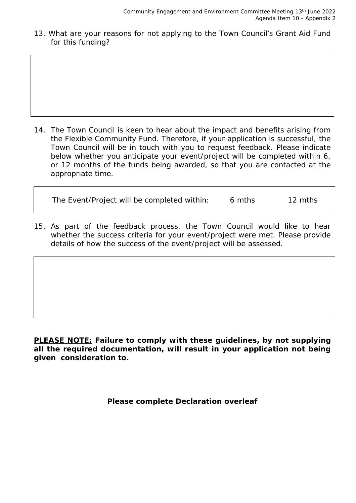13. What are your reasons for not applying to the Town Council's Grant Aid Fund for this funding?

14. The Town Council is keen to hear about the impact and benefits arising from the Flexible Community Fund. Therefore, if your application is successful, the Town Council will be in touch with you to request feedback. Please indicate below whether you anticipate your event/project will be completed within 6, or 12 months of the funds being awarded, so that you are contacted at the appropriate time.

| The Event/Project will be completed within: | 6 mths | 12 mths |
|---------------------------------------------|--------|---------|
|                                             |        |         |

15. As part of the feedback process, the Town Council would like to hear whether the success criteria for your event/project were met. Please provide details of how the success of the event/project will be assessed.

**PLEASE NOTE: Failure to comply with these guidelines, by not supplying all the required documentation, will result in your application not being given consideration to.**

#### **Please complete Declaration overleaf**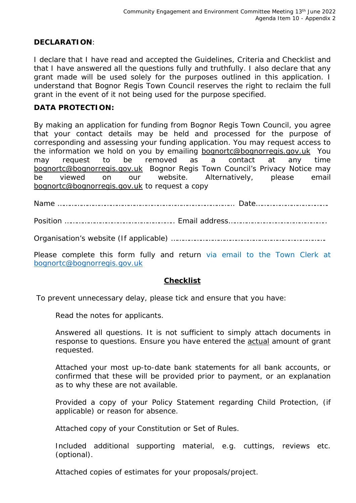#### **DECLARATION**:

I declare that I have read and accepted the Guidelines, Criteria and Checklist and that I have answered all the questions fully and truthfully. I also declare that any grant made will be used solely for the purposes outlined in this application. I understand that Bognor Regis Town Council reserves the right to reclaim the full grant in the event of it not being used for the purpose specified.

#### **DATA PROTECTION:**

By making an application for funding from Bognor Regis Town Council, you agree that your contact details may be held and processed for the purpose of corresponding and assessing your funding application. You may request access to the information we hold on you by emailing **bognortc@bognorregis.gov.uk** You may request to be removed as a contact at any time bognortc@bognorregis.gov.uk Bognor Regis Town Council's Privacy Notice may be viewed on our website. Alternatively, please email bognortc@bognorregis.gov.uk to request a copy

Name ……………………………………………………………………………… Date……………………………….

Position ……………………………………………….. Email address…………………………………………..

Organisation's website (If applicable) …………………………………………………………………….

Please complete this form fully and return via email to the Town Clerk at bognortc@bognorregis.gov.uk

#### **Checklist**

To prevent unnecessary delay, please tick and ensure that you have:

Read the notes for applicants.

Answered all questions. It is not sufficient to simply attach documents in response to questions. Ensure you have entered the actual amount of grant requested.

Attached your most up-to-date bank statements for all bank accounts, or confirmed that these will be provided prior to payment, or an explanation as to why these are not available.

Provided a copy of your Policy Statement regarding Child Protection, (if applicable) or reason for absence.

Attached copy of your Constitution or Set of Rules.

Included additional supporting material, e.g. cuttings, reviews etc. (optional).

Attached copies of estimates for your proposals/project.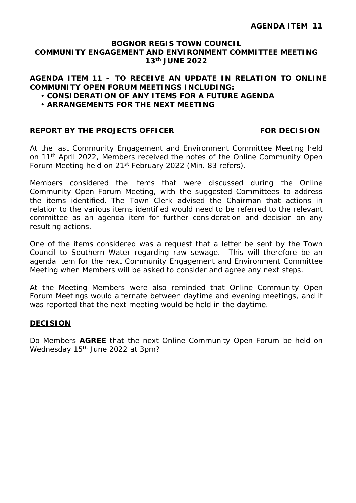#### **AGENDA ITEM 11 – TO RECEIVE AN UPDATE IN RELATION TO ONLINE COMMUNITY OPEN FORUM MEETINGS INCLUDING:**

- **CONSIDERATION OF ANY ITEMS FOR A FUTURE AGENDA**
- **ARRANGEMENTS FOR THE NEXT MEETING**

#### **REPORT BY THE PROJECTS OFFICER FOR DECISION**

At the last Community Engagement and Environment Committee Meeting held on 11<sup>th</sup> April 2022, Members received the notes of the Online Community Open Forum Meeting held on 21<sup>st</sup> February 2022 (Min. 83 refers).

Members considered the items that were discussed during the Online Community Open Forum Meeting, with the suggested Committees to address the items identified. The Town Clerk advised the Chairman that actions in relation to the various items identified would need to be referred to the relevant committee as an agenda item for further consideration and decision on any resulting actions.

One of the items considered was a request that a letter be sent by the Town Council to Southern Water regarding raw sewage. This will therefore be an agenda item for the next Community Engagement and Environment Committee Meeting when Members will be asked to consider and agree any next steps.

At the Meeting Members were also reminded that Online Community Open Forum Meetings would alternate between daytime and evening meetings, and it was reported that the next meeting would be held in the daytime.

#### **DECISION**

Do Members **AGREE** that the next Online Community Open Forum be held on Wednesday 15<sup>th</sup> June 2022 at 3pm?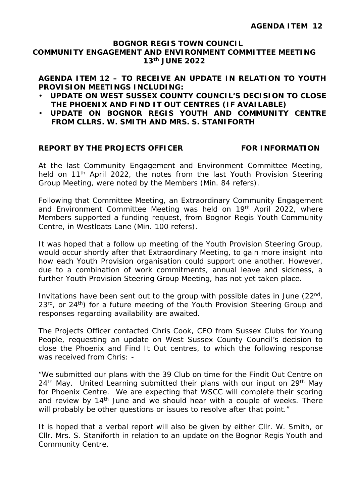#### **AGENDA ITEM 12 – TO RECEIVE AN UPDATE IN RELATION TO YOUTH PROVISION MEETINGS INCLUDING:**

- **UPDATE ON WEST SUSSEX COUNTY COUNCIL'S DECISION TO CLOSE THE PHOENIX AND FIND IT OUT CENTRES (IF AVAILABLE)**
- **UPDATE ON BOGNOR REGIS YOUTH AND COMMUNITY CENTRE FROM CLLRS. W. SMITH AND MRS. S. STANIFORTH**

#### **REPORT BY THE PROJECTS OFFICER FOR INFORMATION**

At the last Community Engagement and Environment Committee Meeting, held on 11<sup>th</sup> April 2022, the notes from the last Youth Provision Steering Group Meeting, were noted by the Members (Min. 84 refers).

Following that Committee Meeting, an Extraordinary Community Engagement and Environment Committee Meeting was held on 19<sup>th</sup> April 2022, where Members supported a funding request, from Bognor Regis Youth Community Centre, in Westloats Lane (Min. 100 refers).

It was hoped that a follow up meeting of the Youth Provision Steering Group, would occur shortly after that Extraordinary Meeting, to gain more insight into how each Youth Provision organisation could support one another. However, due to a combination of work commitments, annual leave and sickness, a further Youth Provision Steering Group Meeting, has not yet taken place.

Invitations have been sent out to the group with possible dates in June (22nd, 23<sup>rd</sup>, or 24<sup>th</sup>) for a future meeting of the Youth Provision Steering Group and responses regarding availability are awaited.

The Projects Officer contacted Chris Cook, CEO from Sussex Clubs for Young People, requesting an update on West Sussex County Council's decision to close the Phoenix and Find It Out centres, to which the following response was received from Chris: -

*"We submitted our plans with the 39 Club on time for the Findit Out Centre on 24th May. United Learning submitted their plans with our input on 29th May*  for Phoenix Centre. We are expecting that WSCC will complete their scoring *and review by 14th June and we should hear with a couple of weeks. There will probably be other questions or issues to resolve after that point."*

It is hoped that a verbal report will also be given by either Cllr. W. Smith, or Cllr. Mrs. S. Staniforth in relation to an update on the Bognor Regis Youth and Community Centre.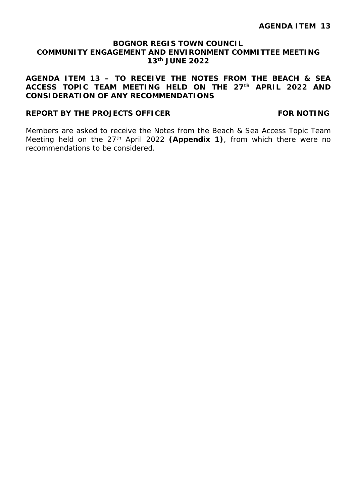#### **AGENDA ITEM 13 – TO RECEIVE THE NOTES FROM THE BEACH & SEA ACCESS TOPIC TEAM MEETING HELD ON THE 27th APRIL 2022 AND CONSIDERATION OF ANY RECOMMENDATIONS**

#### **REPORT BY THE PROJECTS OFFICER FOR NOTING**

Members are asked to receive the Notes from the Beach & Sea Access Topic Team Meeting held on the 27th April 2022 **(Appendix 1)**, from which there were no recommendations to be considered.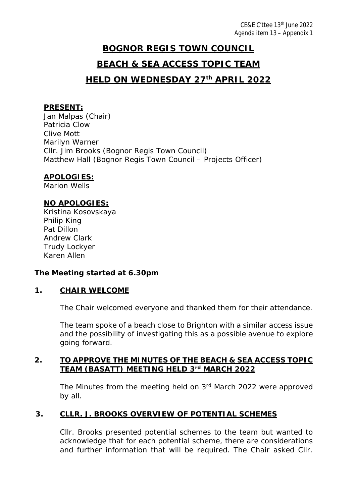## **BOGNOR REGIS TOWN COUNCIL BEACH & SEA ACCESS TOPIC TEAM HELD ON WEDNESDAY 27th APRIL 2022**

## **PRESENT:**

Jan Malpas (Chair) Patricia Clow Clive Mott Marilyn Warner Cllr. Jim Brooks (Bognor Regis Town Council) Matthew Hall (Bognor Regis Town Council – Projects Officer)

#### **APOLOGIES:**

Marion Wells

#### **NO APOLOGIES:**

Kristina Kosovskaya Philip King Pat Dillon Andrew Clark Trudy Lockyer Karen Allen

#### *The Meeting started at 6.30pm*

#### **1. CHAIR WELCOME**

The Chair welcomed everyone and thanked them for their attendance.

The team spoke of a beach close to Brighton with a similar access issue and the possibility of investigating this as a possible avenue to explore going forward.

#### **2. TO APPROVE THE MINUTES OF THE BEACH & SEA ACCESS TOPIC TEAM (BASATT) MEETING HELD 3rd MARCH 2022**

The Minutes from the meeting held on 3<sup>rd</sup> March 2022 were approved by all.

#### **3. CLLR. J. BROOKS OVERVIEW OF POTENTIAL SCHEMES**

Cllr. Brooks presented potential schemes to the team but wanted to acknowledge that for each potential scheme, there are considerations and further information that will be required. The Chair asked Cllr.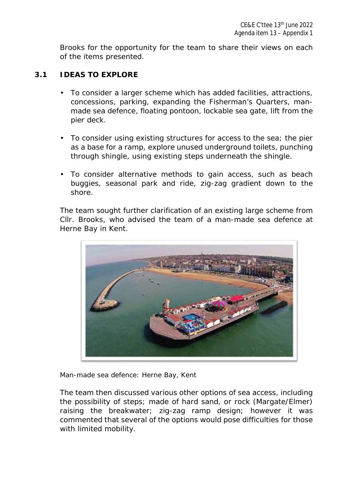Brooks for the opportunity for the team to share their views on each of the items presented.

#### **3.1 IDEAS TO EXPLORE**

- To consider a larger scheme which has added facilities, attractions, concessions, parking, expanding the Fisherman's Quarters, manmade sea defence, floating pontoon, lockable sea gate, lift from the pier deck.
- To consider using existing structures for access to the sea; the pier as a base for a ramp, explore unused underground toilets, punching through shingle, using existing steps underneath the shingle.
- To consider alternative methods to gain access, such as beach buggies, seasonal park and ride, zig-zag gradient down to the shore.

The team sought further clarification of an existing large scheme from Cllr. Brooks, who advised the team of a man-made sea defence at Herne Bay in Kent.



*Man-made sea defence: Herne Bay, Kent*

The team then discussed various other options of sea access, including the possibility of steps; made of hard sand, or rock (Margate/Elmer) raising the breakwater; zig-zag ramp design; however it was commented that several of the options would pose difficulties for those with limited mobility.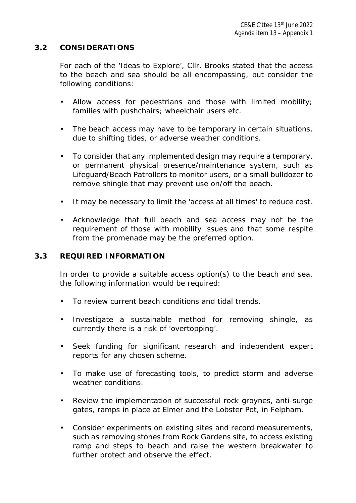#### **3.2 CONSIDERATIONS**

For each of the 'Ideas to Explore', Cllr. Brooks stated that the access to the beach and sea should be all encompassing, but consider the following conditions:

- Allow access for pedestrians and those with limited mobility; families with pushchairs; wheelchair users etc.
- The beach access may have to be temporary in certain situations, due to shifting tides, or adverse weather conditions.
- To consider that any implemented design may require a temporary, or permanent physical presence/maintenance system, such as Lifeguard/Beach Patrollers to monitor users, or a small bulldozer to remove shingle that may prevent use on/off the beach.
- It may be necessary to limit the 'access at all times' to reduce cost.  $\mathbf{r}$
- Acknowledge that full beach and sea access may not be the requirement of those with mobility issues and that some respite from the promenade may be the preferred option.

#### **3.3 REQUIRED INFORMATION**

In order to provide a suitable access option(s) to the beach and sea, the following information would be required:

- To review current beach conditions and tidal trends.
- Investigate a sustainable method for removing shingle, as currently there is a risk of 'overtopping'.
- Seek funding for significant research and independent expert  $\mathbf{r}$ reports for any chosen scheme.
- To make use of forecasting tools, to predict storm and adverse weather conditions.
- Review the implementation of successful rock groynes, anti-surge gates, ramps in place at Elmer and the Lobster Pot, in Felpham.
- Consider experiments on existing sites and record measurements, such as removing stones from Rock Gardens site, to access existing ramp and steps to beach and raise the western breakwater to further protect and observe the effect.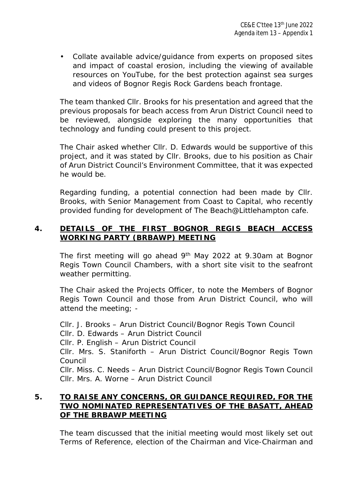Collate available advice/guidance from experts on proposed sites and impact of coastal erosion, including the viewing of available resources on YouTube, for the best protection against sea surges and videos of Bognor Regis Rock Gardens beach frontage.

The team thanked Cllr. Brooks for his presentation and agreed that the previous proposals for beach access from Arun District Council need to be reviewed, alongside exploring the many opportunities that technology and funding could present to this project.

The Chair asked whether Cllr. D. Edwards would be supportive of this project, and it was stated by Cllr. Brooks, due to his position as Chair of Arun District Council's Environment Committee, that it was expected he would be.

Regarding funding, a potential connection had been made by Cllr. Brooks, with Senior Management from Coast to Capital, who recently provided funding for development of The Beach@Littlehampton cafe.

#### **4. DETAILS OF THE FIRST BOGNOR REGIS BEACH ACCESS WORKING PARTY (BRBAWP) MEETING**

The first meeting will go ahead 9th May 2022 at 9.30am at Bognor Regis Town Council Chambers, with a short site visit to the seafront weather permitting.

The Chair asked the Projects Officer, to note the Members of Bognor Regis Town Council and those from Arun District Council, who will attend the meeting; -

Cllr. J. Brooks – Arun District Council/Bognor Regis Town Council Cllr. D. Edwards – Arun District Council Cllr. P. English – Arun District Council Cllr. Mrs. S. Staniforth – Arun District Council/Bognor Regis Town Council Cllr. Miss. C. Needs – Arun District Council/Bognor Regis Town Council Cllr. Mrs. A. Worne – Arun District Council

#### **5. TO RAISE ANY CONCERNS, OR GUIDANCE REQUIRED, FOR THE TWO NOMINATED REPRESENTATIVES OF THE BASATT, AHEAD OF THE BRBAWP MEETING**

The team discussed that the initial meeting would most likely set out Terms of Reference, election of the Chairman and Vice-Chairman and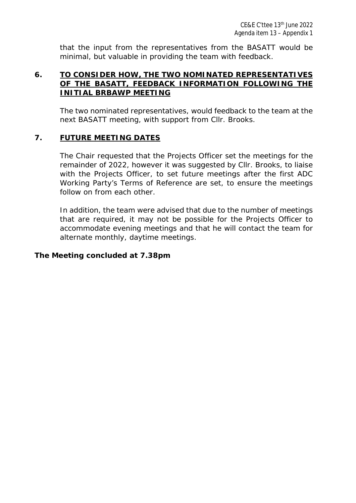that the input from the representatives from the BASATT would be minimal, but valuable in providing the team with feedback.

#### **6. TO CONSIDER HOW, THE TWO NOMINATED REPRESENTATIVES OF THE BASATT, FEEDBACK INFORMATION FOLLOWING THE INITIAL BRBAWP MEETING**

The two nominated representatives, would feedback to the team at the next BASATT meeting, with support from Cllr. Brooks.

#### **7. FUTURE MEETING DATES**

The Chair requested that the Projects Officer set the meetings for the remainder of 2022, however it was suggested by Cllr. Brooks, to liaise with the Projects Officer, to set future meetings after the first ADC Working Party's Terms of Reference are set, to ensure the meetings follow on from each other.

In addition, the team were advised that due to the number of meetings that are required, it may not be possible for the Projects Officer to accommodate evening meetings and that he will contact the team for alternate monthly, daytime meetings.

#### *The Meeting concluded at 7.38pm*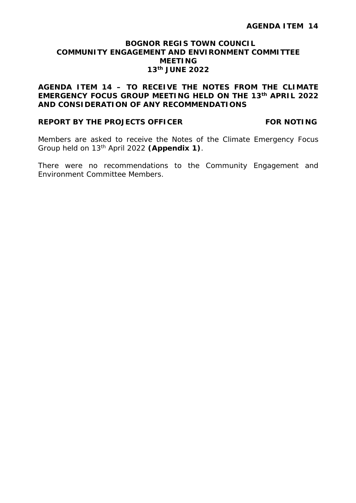#### **AGENDA ITEM 14 – TO RECEIVE THE NOTES FROM THE CLIMATE EMERGENCY FOCUS GROUP MEETING HELD ON THE 13th APRIL 2022 AND CONSIDERATION OF ANY RECOMMENDATIONS**

#### **REPORT BY THE PROJECTS OFFICER FOR NOTING**

Members are asked to receive the Notes of the Climate Emergency Focus Group held on 13th April 2022 **(Appendix 1)**.

There were no recommendations to the Community Engagement and Environment Committee Members.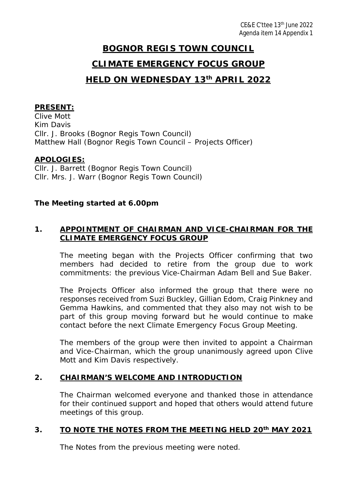### **CLIMATE EMERGENCY FOCUS GROUP**

### **HELD ON WEDNESDAY 13th APRIL 2022**

#### **PRESENT:**

Clive Mott Kim Davis Cllr. J. Brooks (Bognor Regis Town Council) Matthew Hall (Bognor Regis Town Council – Projects Officer)

#### **APOLOGIES:**

Cllr. J. Barrett (Bognor Regis Town Council) Cllr. Mrs. J. Warr (Bognor Regis Town Council)

#### *The Meeting started at 6.00pm*

#### **1. APPOINTMENT OF CHAIRMAN AND VICE-CHAIRMAN FOR THE CLIMATE EMERGENCY FOCUS GROUP**

The meeting began with the Projects Officer confirming that two members had decided to retire from the group due to work commitments: the previous Vice-Chairman Adam Bell and Sue Baker.

The Projects Officer also informed the group that there were no responses received from Suzi Buckley, Gillian Edom, Craig Pinkney and Gemma Hawkins, and commented that they also may not wish to be part of this group moving forward but he would continue to make contact before the next Climate Emergency Focus Group Meeting.

The members of the group were then invited to appoint a Chairman and Vice-Chairman, which the group unanimously agreed upon Clive Mott and Kim Davis respectively.

#### **2. CHAIRMAN'S WELCOME AND INTRODUCTION**

The Chairman welcomed everyone and thanked those in attendance for their continued support and hoped that others would attend future meetings of this group.

#### **3. TO NOTE THE NOTES FROM THE MEETING HELD 20th MAY 2021**

The Notes from the previous meeting were noted.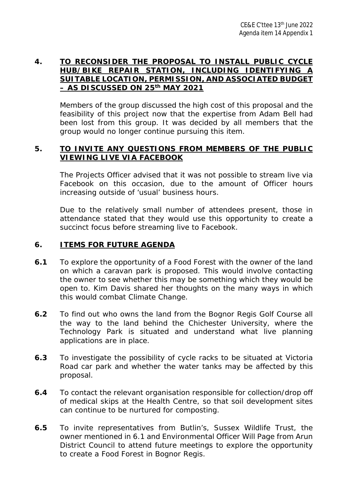#### **4. TO RECONSIDER THE PROPOSAL TO INSTALL PUBLIC CYCLE HUB/BIKE REPAIR STATION, INCLUDING IDENTIFYING A SUITABLE LOCATION, PERMISSION, AND ASSOCIATED BUDGET – AS DISCUSSED ON 25th MAY 2021**

Members of the group discussed the high cost of this proposal and the feasibility of this project now that the expertise from Adam Bell had been lost from this group. It was decided by all members that the group would no longer continue pursuing this item.

#### **5. TO INVITE ANY QUESTIONS FROM MEMBERS OF THE PUBLIC VIEWING LIVE VIA FACEBOOK**

The Projects Officer advised that it was not possible to stream live via Facebook on this occasion, due to the amount of Officer hours increasing outside of 'usual' business hours.

Due to the relatively small number of attendees present, those in attendance stated that they would use this opportunity to create a succinct focus before streaming live to Facebook.

#### **6. ITEMS FOR FUTURE AGENDA**

- **6.1** To explore the opportunity of a Food Forest with the owner of the land on which a caravan park is proposed. This would involve contacting the owner to see whether this may be something which they would be open to. Kim Davis shared her thoughts on the many ways in which this would combat Climate Change.
- **6.2** To find out who owns the land from the Bognor Regis Golf Course all the way to the land behind the Chichester University, where the Technology Park is situated and understand what live planning applications are in place.
- **6.3** To investigate the possibility of cycle racks to be situated at Victoria Road car park and whether the water tanks may be affected by this proposal.
- **6.4** To contact the relevant organisation responsible for collection/drop off of medical skips at the Health Centre, so that soil development sites can continue to be nurtured for composting.
- **6.5** To invite representatives from Butlin's, Sussex Wildlife Trust, the owner mentioned in 6.1 and Environmental Officer Will Page from Arun District Council to attend future meetings to explore the opportunity to create a Food Forest in Bognor Regis.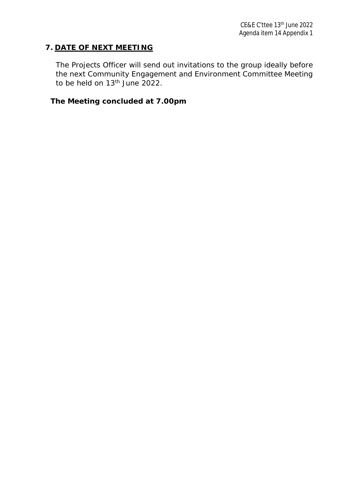#### **7. DATE OF NEXT MEETING**

The Projects Officer will send out invitations to the group ideally before the next Community Engagement and Environment Committee Meeting to be held on  $13<sup>th</sup>$  June 2022.

*The Meeting concluded at 7.00pm*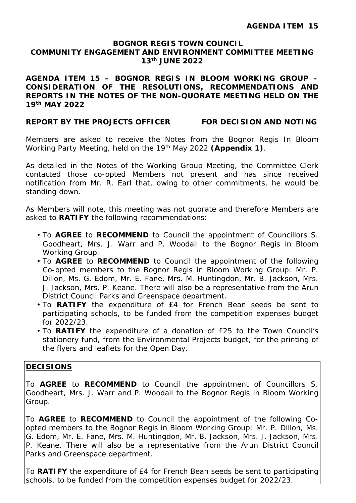**AGENDA ITEM 15 – BOGNOR REGIS IN BLOOM WORKING GROUP – CONSIDERATION OF THE RESOLUTIONS, RECOMMENDATIONS AND REPORTS IN THE NOTES OF THE NON-QUORATE MEETING HELD ON THE 19th MAY 2022**

#### **REPORT BY THE PROJECTS OFFICER FOR DECISION AND NOTING**

Members are asked to receive the Notes from the Bognor Regis In Bloom Working Party Meeting, held on the 19th May 2022 **(Appendix 1)**.

As detailed in the Notes of the Working Group Meeting, the Committee Clerk contacted those co-opted Members not present and has since received notification from Mr. R. Earl that, owing to other commitments, he would be standing down.

As Members will note, this meeting was not quorate and therefore Members are asked to **RATIFY** the following recommendations:

- To **AGREE** to **RECOMMEND** to Council the appointment of Councillors S. Goodheart, Mrs. J. Warr and P. Woodall to the Bognor Regis in Bloom Working Group.
- To **AGREE** to **RECOMMEND** to Council the appointment of the following Co-opted members to the Bognor Regis in Bloom Working Group: Mr. P. Dillon, Ms. G. Edom, Mr. E. Fane, Mrs. M. Huntingdon, Mr. B. Jackson, Mrs. J. Jackson, Mrs. P. Keane. There will also be a representative from the Arun District Council Parks and Greenspace department.
- To **RATIFY** the expenditure of £4 for French Bean seeds be sent to participating schools, to be funded from the competition expenses budget for 2022/23.
- To **RATIFY** the expenditure of a donation of £25 to the Town Council's stationery fund, from the Environmental Projects budget, for the printing of the flyers and leaflets for the Open Day.

#### **DECISIONS**

To **AGREE** to **RECOMMEND** to Council the appointment of Councillors S. Goodheart, Mrs. J. Warr and P. Woodall to the Bognor Regis in Bloom Working Group.

To **AGREE** to **RECOMMEND** to Council the appointment of the following Coopted members to the Bognor Regis in Bloom Working Group: Mr. P. Dillon, Ms. G. Edom, Mr. E. Fane, Mrs. M. Huntingdon, Mr. B. Jackson, Mrs. J. Jackson, Mrs. P. Keane. There will also be a representative from the Arun District Council Parks and Greenspace department.

To **RATIFY** the expenditure of £4 for French Bean seeds be sent to participating schools, to be funded from the competition expenses budget for 2022/23.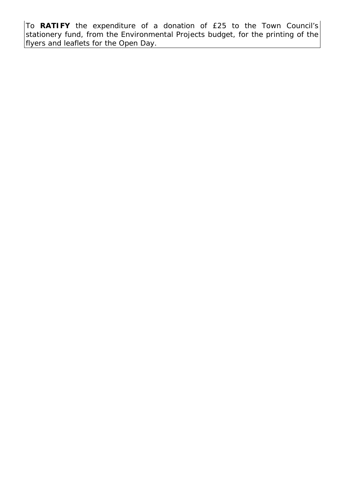To **RATIFY** the expenditure of a donation of £25 to the Town Council's stationery fund, from the Environmental Projects budget, for the printing of the flyers and leaflets for the Open Day.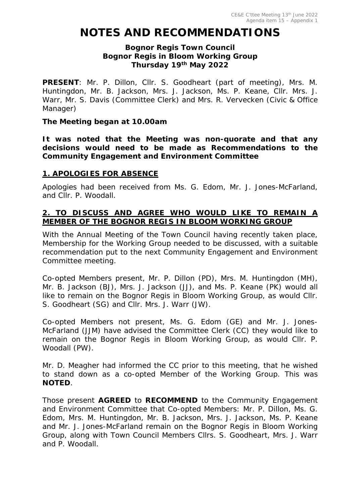## **NOTES AND RECOMMENDATIONS**

#### **Bognor Regis Town Council Bognor Regis in Bloom Working Group Thursday 19th May 2022**

**PRESENT**: Mr. P. Dillon, Cllr. S. Goodheart (part of meeting), Mrs. M. Huntingdon, Mr. B. Jackson, Mrs. J. Jackson, Ms. P. Keane, Cllr. Mrs. J. Warr, Mr. S. Davis (Committee Clerk) and Mrs. R. Vervecken (Civic & Office Manager)

#### *The Meeting began at 10.00am*

*It was noted that the Meeting was non-quorate and that any decisions would need to be made as Recommendations to the Community Engagement and Environment Committee*

#### **1. APOLOGIES FOR ABSENCE**

Apologies had been received from Ms. G. Edom, Mr. J. Jones-McFarland, and Cllr. P. Woodall.

#### **2. TO DISCUSS AND AGREE WHO WOULD LIKE TO REMAIN A MEMBER OF THE BOGNOR REGIS IN BLOOM WORKING GROUP**

With the Annual Meeting of the Town Council having recently taken place, Membership for the Working Group needed to be discussed, with a suitable recommendation put to the next Community Engagement and Environment Committee meeting.

Co-opted Members present, Mr. P. Dillon (PD), Mrs. M. Huntingdon (MH), Mr. B. Jackson (BJ), Mrs. J. Jackson (JJ), and Ms. P. Keane (PK) would all like to remain on the Bognor Regis in Bloom Working Group, as would Cllr. S. Goodheart (SG) and Cllr. Mrs. J. Warr (JW).

Co-opted Members not present, Ms. G. Edom (GE) and Mr. J. Jones-McFarland (JJM) have advised the Committee Clerk (CC) they would like to remain on the Bognor Regis in Bloom Working Group, as would Cllr. P. Woodall (PW).

Mr. D. Meagher had informed the CC prior to this meeting, that he wished to stand down as a co-opted Member of the Working Group. This was **NOTED**.

Those present **AGREED** to **RECOMMEND** to the Community Engagement and Environment Committee that Co-opted Members: Mr. P. Dillon, Ms. G. Edom, Mrs. M. Huntingdon, Mr. B. Jackson, Mrs. J. Jackson, Ms. P. Keane and Mr. J. Jones-McFarland remain on the Bognor Regis in Bloom Working Group, along with Town Council Members Cllrs. S. Goodheart, Mrs. J. Warr and P. Woodall.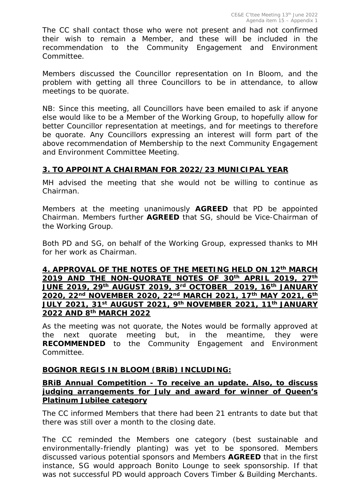The CC shall contact those who were not present and had not confirmed their wish to remain a Member, and these will be included in the recommendation to the Community Engagement and Environment Committee.

Members discussed the Councillor representation on In Bloom, and the problem with getting all three Councillors to be in attendance, to allow meetings to be quorate.

*NB: Since this meeting, all Councillors have been emailed to ask if anyone else would like to be a Member of the Working Group, to hopefully allow for better Councillor representation at meetings, and for meetings to therefore be quorate. Any Councillors expressing an interest will form part of the above recommendation of Membership to the next Community Engagement and Environment Committee Meeting.*

#### **3. TO APPOINT A CHAIRMAN FOR 2022/23 MUNICIPAL YEAR**

MH advised the meeting that she would not be willing to continue as Chairman.

Members at the meeting unanimously **AGREED** that PD be appointed Chairman. Members further **AGREED** that SG, should be Vice-Chairman of the Working Group.

Both PD and SG, on behalf of the Working Group, expressed thanks to MH for her work as Chairman.

**4. APPROVAL OF THE NOTES OF THE MEETING HELD ON 12th MARCH 2019 AND THE NON-QUORATE NOTES OF 30th APRIL 2019, 27th JUNE 2019, 29th AUGUST 2019, 3rd OCTOBER 2019, 16th JANUARY 2020, 22nd NOVEMBER 2020, 22nd MARCH 2021, 17th MAY 2021, 6th JULY 2021, 31st AUGUST 2021, 9th NOVEMBER 2021, 11th JANUARY 2022 AND 8th MARCH 2022**

As the meeting was not quorate, the Notes would be formally approved at the next quorate meeting but, in the meantime, they were **RECOMMENDED** to the Community Engagement and Environment Committee.

#### **BOGNOR REGIS IN BLOOM (BRiB) INCLUDING:**

#### **BRiB Annual Competition - To receive an update. Also, to discuss judging arrangements for July and award for winner of Queen's Platinum Jubilee category**

The CC informed Members that there had been 21 entrants to date but that there was still over a month to the closing date.

The CC reminded the Members one category (best sustainable and environmentally-friendly planting) was yet to be sponsored. Members discussed various potential sponsors and Members **AGREED** that in the first instance, SG would approach Bonito Lounge to seek sponsorship. If that was not successful PD would approach Covers Timber & Building Merchants.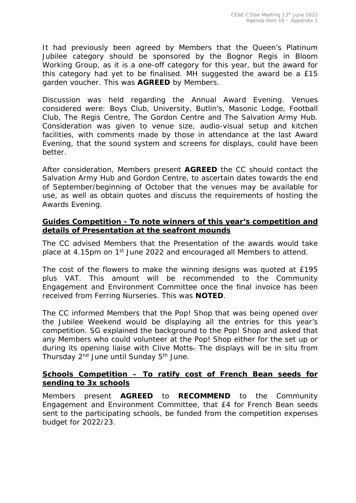It had previously been agreed by Members that the Queen's Platinum Jubilee category should be sponsored by the Bognor Regis in Bloom Working Group, as it is a one-off category for this year, but the award for this category had yet to be finalised. MH suggested the award be a £15 garden voucher. This was **AGREED** by Members.

Discussion was held regarding the Annual Award Evening. Venues considered were: Boys Club, University, Butlin's, Masonic Lodge, Football Club, The Regis Centre, The Gordon Centre and The Salvation Army Hub. Consideration was given to venue size, audio-visual setup and kitchen facilities, with comments made by those in attendance at the last Award Evening, that the sound system and screens for displays, could have been better.

After consideration, Members present **AGREED** the CC should contact the Salvation Army Hub and Gordon Centre, to ascertain dates towards the end of September/beginning of October that the venues may be available for use, as well as obtain quotes and discuss the requirements of hosting the Awards Evening.

#### **Guides Competition - To note winners of this year's competition and details of Presentation at the seafront mounds**

The CC advised Members that the Presentation of the awards would take place at 4.15pm on 1st June 2022 and encouraged all Members to attend.

The cost of the flowers to make the winning designs was quoted at £195 plus VAT. This amount will be recommended to the Community Engagement and Environment Committee once the final invoice has been received from Ferring Nurseries. This was **NOTED**.

The CC informed Members that the Pop! Shop that was being opened over the Jubilee Weekend would be displaying all the entries for this year's competition. SG explained the background to the Pop! Shop and asked that any Members who could volunteer at the Pop! Shop either for the set up or during its opening liaise with Clive Motts. The displays will be in situ from Thursday 2<sup>nd</sup> June until Sunday 5<sup>th</sup> June.

#### **Schools Competition – To ratify cost of French Bean seeds for sending to 3x schools**

Members present **AGREED** to **RECOMMEND** to the Community Engagement and Environment Committee, that £4 for French Bean seeds sent to the participating schools, be funded from the competition expenses budget for 2022/23.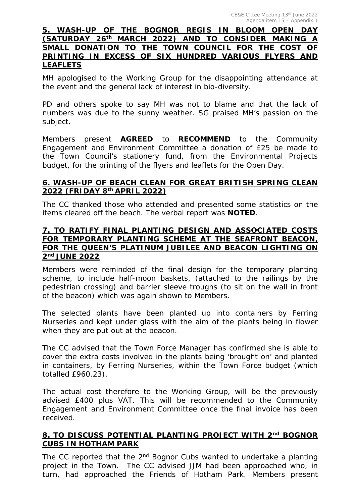#### **5. WASH-UP OF THE BOGNOR REGIS IN BLOOM OPEN DAY (SATURDAY 26th MARCH 2022) AND TO CONSIDER MAKING A SMALL DONATION TO THE TOWN COUNCIL FOR THE COST OF PRINTING IN EXCESS OF SIX HUNDRED VARIOUS FLYERS AND LEAFLETS**

MH apologised to the Working Group for the disappointing attendance at the event and the general lack of interest in bio-diversity.

PD and others spoke to say MH was not to blame and that the lack of numbers was due to the sunny weather. SG praised MH's passion on the subject.

Members present **AGREED** to **RECOMMEND** to the Community Engagement and Environment Committee a donation of £25 be made to the Town Council's stationery fund, from the Environmental Projects budget, for the printing of the flyers and leaflets for the Open Day.

#### **6. WASH-UP OF BEACH CLEAN FOR GREAT BRITISH SPRING CLEAN 2022 (FRIDAY 8th APRIL 2022)**

The CC thanked those who attended and presented some statistics on the items cleared off the beach. The verbal report was **NOTED**.

#### **7. TO RATIFY FINAL PLANTING DESIGN AND ASSOCIATED COSTS FOR TEMPORARY PLANTING SCHEME AT THE SEAFRONT BEACON, FOR THE QUEEN'S PLATINUM JUBILEE AND BEACON LIGHTING ON 2nd JUNE 2022**

Members were reminded of the final design for the temporary planting scheme, to include half-moon baskets, (attached to the railings by the pedestrian crossing) and barrier sleeve troughs (to sit on the wall in front of the beacon) which was again shown to Members.

The selected plants have been planted up into containers by Ferring Nurseries and kept under glass with the aim of the plants being in flower when they are put out at the beacon.

The CC advised that the Town Force Manager has confirmed she is able to cover the extra costs involved in the plants being 'brought on' and planted in containers, by Ferring Nurseries, within the Town Force budget (which totalled £960.23).

The actual cost therefore to the Working Group, will be the previously advised £400 plus VAT. This will be recommended to the Community Engagement and Environment Committee once the final invoice has been received.

#### **8. TO DISCUSS POTENTIAL PLANTING PROJECT WITH 2nd BOGNOR CUBS IN HOTHAM PARK**

The CC reported that the  $2<sup>nd</sup>$  Bognor Cubs wanted to undertake a planting project in the Town. The CC advised JJM had been approached who, in turn, had approached the Friends of Hotham Park. Members present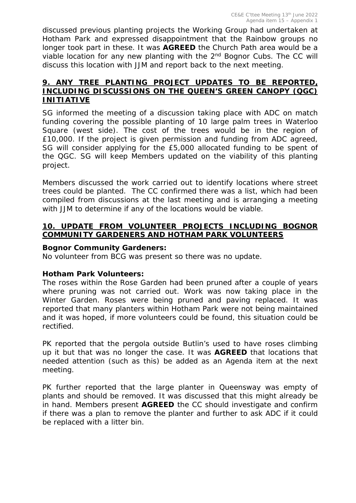discussed previous planting projects the Working Group had undertaken at Hotham Park and expressed disappointment that the Rainbow groups no longer took part in these. It was **AGREED** the Church Path area would be a viable location for any new planting with the 2<sup>nd</sup> Bognor Cubs. The CC will discuss this location with JJM and report back to the next meeting.

#### **9. ANY TREE PLANTING PROJECT UPDATES TO BE REPORTED, INCLUDING DISCUSSIONS ON THE QUEEN'S GREEN CANOPY (QGC) INITIATIVE**

SG informed the meeting of a discussion taking place with ADC on match funding covering the possible planting of 10 large palm trees in Waterloo Square (west side). The cost of the trees would be in the region of £10,000. If the project is given permission and funding from ADC agreed, SG will consider applying for the £5,000 allocated funding to be spent of the QGC. SG will keep Members updated on the viability of this planting project.

Members discussed the work carried out to identify locations where street trees could be planted. The CC confirmed there was a list, which had been compiled from discussions at the last meeting and is arranging a meeting with JJM to determine if any of the locations would be viable.

#### **10. UPDATE FROM VOLUNTEER PROJECTS INCLUDING BOGNOR COMMUNITY GARDENERS AND HOTHAM PARK VOLUNTEERS**

#### **Bognor Community Gardeners:**

No volunteer from BCG was present so there was no update.

#### **Hotham Park Volunteers:**

The roses within the Rose Garden had been pruned after a couple of years where pruning was not carried out. Work was now taking place in the Winter Garden. Roses were being pruned and paving replaced. It was reported that many planters within Hotham Park were not being maintained and it was hoped, if more volunteers could be found, this situation could be rectified.

PK reported that the pergola outside Butlin's used to have roses climbing up it but that was no longer the case. It was **AGREED** that locations that needed attention (such as this) be added as an Agenda item at the next meeting.

PK further reported that the large planter in Queensway was empty of plants and should be removed. It was discussed that this might already be in hand. Members present **AGREED** the CC should investigate and confirm if there was a plan to remove the planter and further to ask ADC if it could be replaced with a litter bin.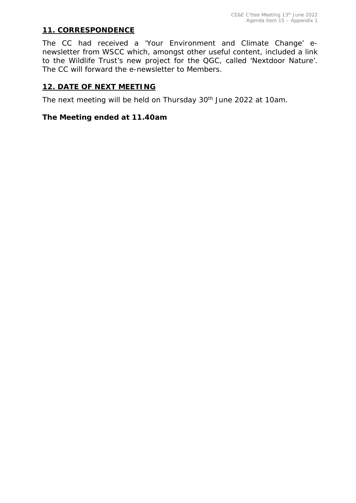#### **11. CORRESPONDENCE**

The CC had received a 'Your Environment and Climate Change' enewsletter from WSCC which, amongst other useful content, included a link to the Wildlife Trust's new project for the QGC, called 'Nextdoor Nature'. The CC will forward the e-newsletter to Members.

#### **12. DATE OF NEXT MEETING**

The next meeting will be held on Thursday 30<sup>th</sup> June 2022 at 10am.

#### *The Meeting ended at 11.40am*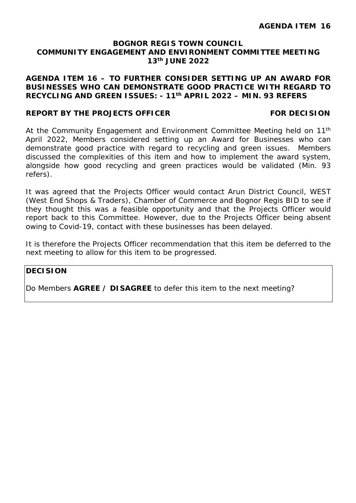#### **AGENDA ITEM 16 – TO FURTHER CONSIDER SETTING UP AN AWARD FOR BUSINESSES WHO CAN DEMONSTRATE GOOD PRACTICE WITH REGARD TO RECYCLING AND GREEN ISSUES: - 11th APRIL 2022 – MIN. 93 REFERS**

#### **REPORT BY THE PROJECTS OFFICER FOR DECISION**

At the Community Engagement and Environment Committee Meeting held on 11<sup>th</sup> April 2022, Members considered setting up an Award for Businesses who can demonstrate good practice with regard to recycling and green issues. Members discussed the complexities of this item and how to implement the award system, alongside how good recycling and green practices would be validated (Min. 93 refers).

It was agreed that the Projects Officer would contact Arun District Council, WEST (West End Shops & Traders), Chamber of Commerce and Bognor Regis BID to see if they thought this was a feasible opportunity and that the Projects Officer would report back to this Committee. However, due to the Projects Officer being absent owing to Covid-19, contact with these businesses has been delayed.

It is therefore the Projects Officer recommendation that this item be deferred to the next meeting to allow for this item to be progressed.

#### **DECISION**

Do Members **AGREE / DISAGREE** to defer this item to the next meeting?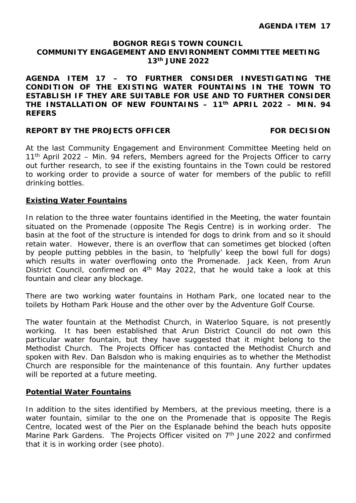**AGENDA ITEM 17 – TO FURTHER CONSIDER INVESTIGATING THE CONDITION OF THE EXISTING WATER FOUNTAINS IN THE TOWN TO ESTABLISH IF THEY ARE SUITABLE FOR USE AND TO FURTHER CONSIDER THE INSTALLATION OF NEW FOUNTAINS – 11th APRIL 2022 – MIN. 94 REFERS**

#### **REPORT BY THE PROJECTS OFFICER FOR DECISION**

At the last Community Engagement and Environment Committee Meeting held on  $11<sup>th</sup>$  April 2022 – Min. 94 refers, Members agreed for the Projects Officer to carry out further research, to see if the existing fountains in the Town could be restored to working order to provide a source of water for members of the public to refill drinking bottles.

#### **Existing Water Fountains**

In relation to the three water fountains identified in the Meeting, the water fountain situated on the Promenade (opposite The Regis Centre) is in working order. The basin at the foot of the structure is intended for dogs to drink from and so it should retain water. However, there is an overflow that can sometimes get blocked (often by people putting pebbles in the basin, to 'helpfully' keep the bowl full for dogs) which results in water overflowing onto the Promenade. Jack Keen, from Arun District Council, confirmed on  $4<sup>th</sup>$  May 2022, that he would take a look at this fountain and clear any blockage.

There are two working water fountains in Hotham Park, one located near to the toilets by Hotham Park House and the other over by the Adventure Golf Course.

The water fountain at the Methodist Church, in Waterloo Square, is not presently working. It has been established that Arun District Council do not own this particular water fountain, but they have suggested that it might belong to the Methodist Church. The Projects Officer has contacted the Methodist Church and spoken with Rev. Dan Balsdon who is making enquiries as to whether the Methodist Church are responsible for the maintenance of this fountain. Any further updates will be reported at a future meeting.

#### **Potential Water Fountains**

In addition to the sites identified by Members, at the previous meeting, there is a water fountain, similar to the one on the Promenade that is opposite The Regis Centre, located west of the Pier on the Esplanade behind the beach huts opposite Marine Park Gardens. The Projects Officer visited on  $7<sup>th</sup>$  June 2022 and confirmed that it is in working order (see photo).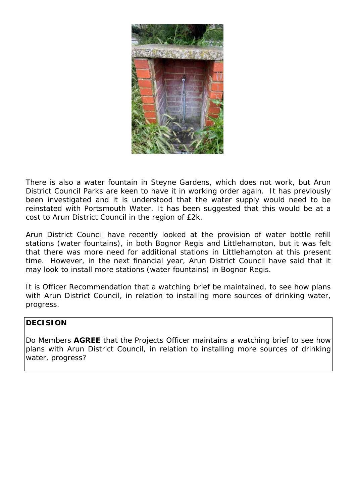

There is also a water fountain in Steyne Gardens, which does not work, but Arun District Council Parks are keen to have it in working order again. It has previously been investigated and it is understood that the water supply would need to be reinstated with Portsmouth Water. It has been suggested that this would be at a cost to Arun District Council in the region of £2k.

Arun District Council have recently looked at the provision of water bottle refill stations (water fountains), in both Bognor Regis and Littlehampton, but it was felt that there was more need for additional stations in Littlehampton at this present time. However, in the next financial year, Arun District Council have said that it may look to install more stations (water fountains) in Bognor Regis.

It is Officer Recommendation that a watching brief be maintained, to see how plans with Arun District Council, in relation to installing more sources of drinking water, progress.

#### **DECISION**

Do Members **AGREE** that the Projects Officer maintains a watching brief to see how plans with Arun District Council, in relation to installing more sources of drinking water, progress?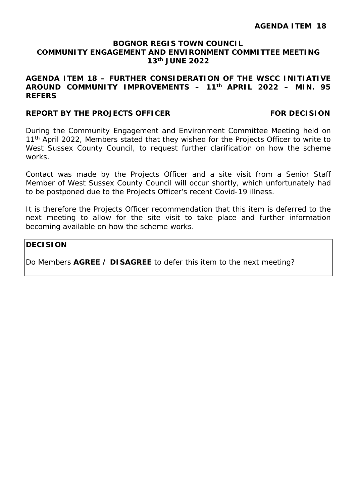#### **AGENDA ITEM 18 – FURTHER CONSIDERATION OF THE WSCC INITIATIVE AROUND COMMUNITY IMPROVEMENTS – 11th APRIL 2022 – MIN. 95 REFERS**

#### **REPORT BY THE PROJECTS OFFICER FOR DECISION**

During the Community Engagement and Environment Committee Meeting held on 11<sup>th</sup> April 2022, Members stated that they wished for the Projects Officer to write to West Sussex County Council, to request further clarification on how the scheme works.

Contact was made by the Projects Officer and a site visit from a Senior Staff Member of West Sussex County Council will occur shortly, which unfortunately had to be postponed due to the Projects Officer's recent Covid-19 illness.

It is therefore the Projects Officer recommendation that this item is deferred to the next meeting to allow for the site visit to take place and further information becoming available on how the scheme works.

#### **DECISION**

Do Members **AGREE / DISAGREE** to defer this item to the next meeting?